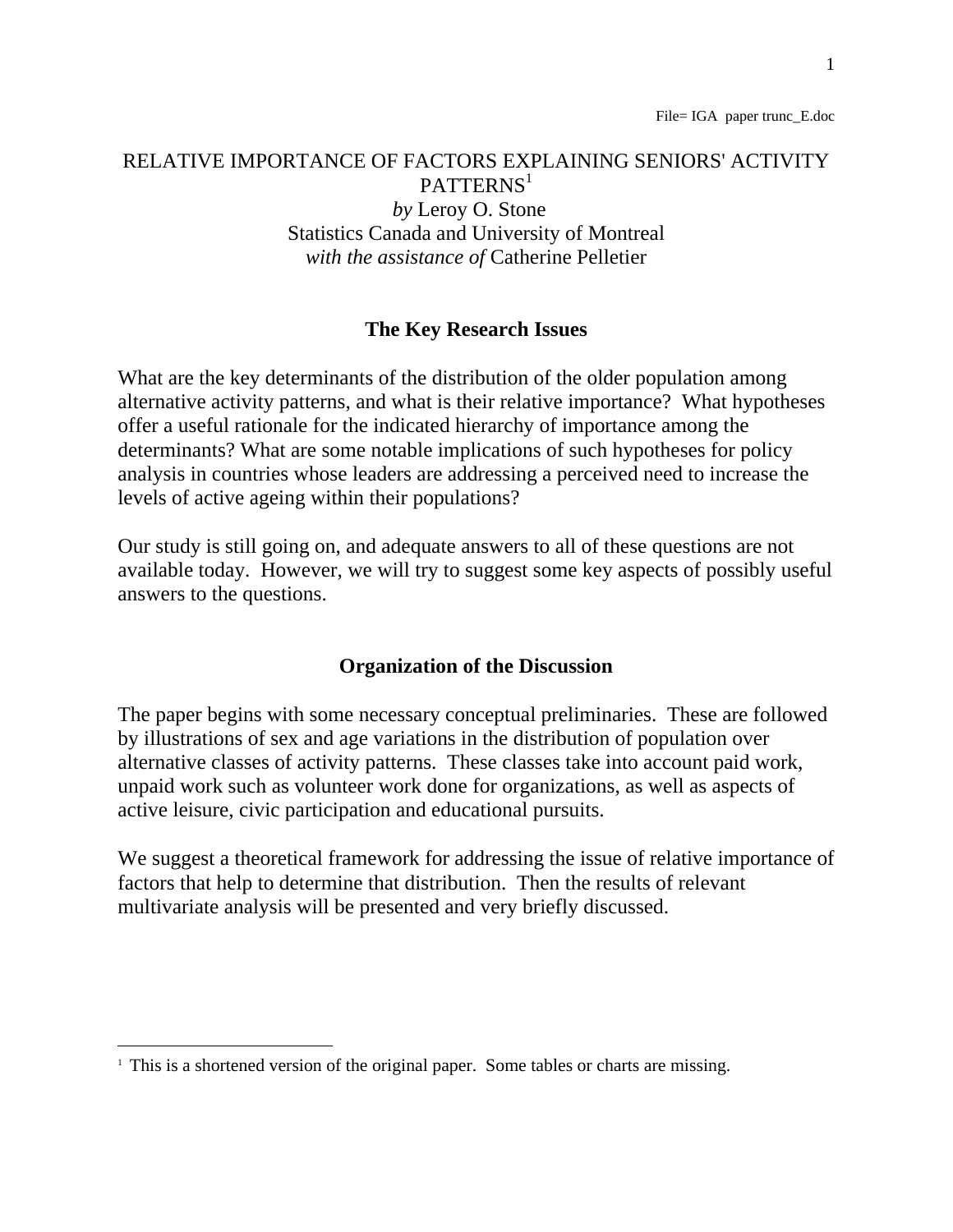# RELATIVE IMPORTANCE OF FACTORS EXPLAINING SENIORS' ACTIVITY PATTERNS<sup>1</sup>  *by* Leroy O. Stone Statistics Canada and University of Montreal *with the assistance of* Catherine Pelletier

#### **The Key Research Issues**

What are the key determinants of the distribution of the older population among alternative activity patterns, and what is their relative importance? What hypotheses offer a useful rationale for the indicated hierarchy of importance among the determinants? What are some notable implications of such hypotheses for policy analysis in countries whose leaders are addressing a perceived need to increase the levels of active ageing within their populations?

Our study is still going on, and adequate answers to all of these questions are not available today. However, we will try to suggest some key aspects of possibly useful answers to the questions.

#### **Organization of the Discussion**

The paper begins with some necessary conceptual preliminaries. These are followed by illustrations of sex and age variations in the distribution of population over alternative classes of activity patterns. These classes take into account paid work, unpaid work such as volunteer work done for organizations, as well as aspects of active leisure, civic participation and educational pursuits.

We suggest a theoretical framework for addressing the issue of relative importance of factors that help to determine that distribution. Then the results of relevant multivariate analysis will be presented and very briefly discussed.

<sup>&</sup>lt;sup>1</sup> This is a shortened version of the original paper. Some tables or charts are missing.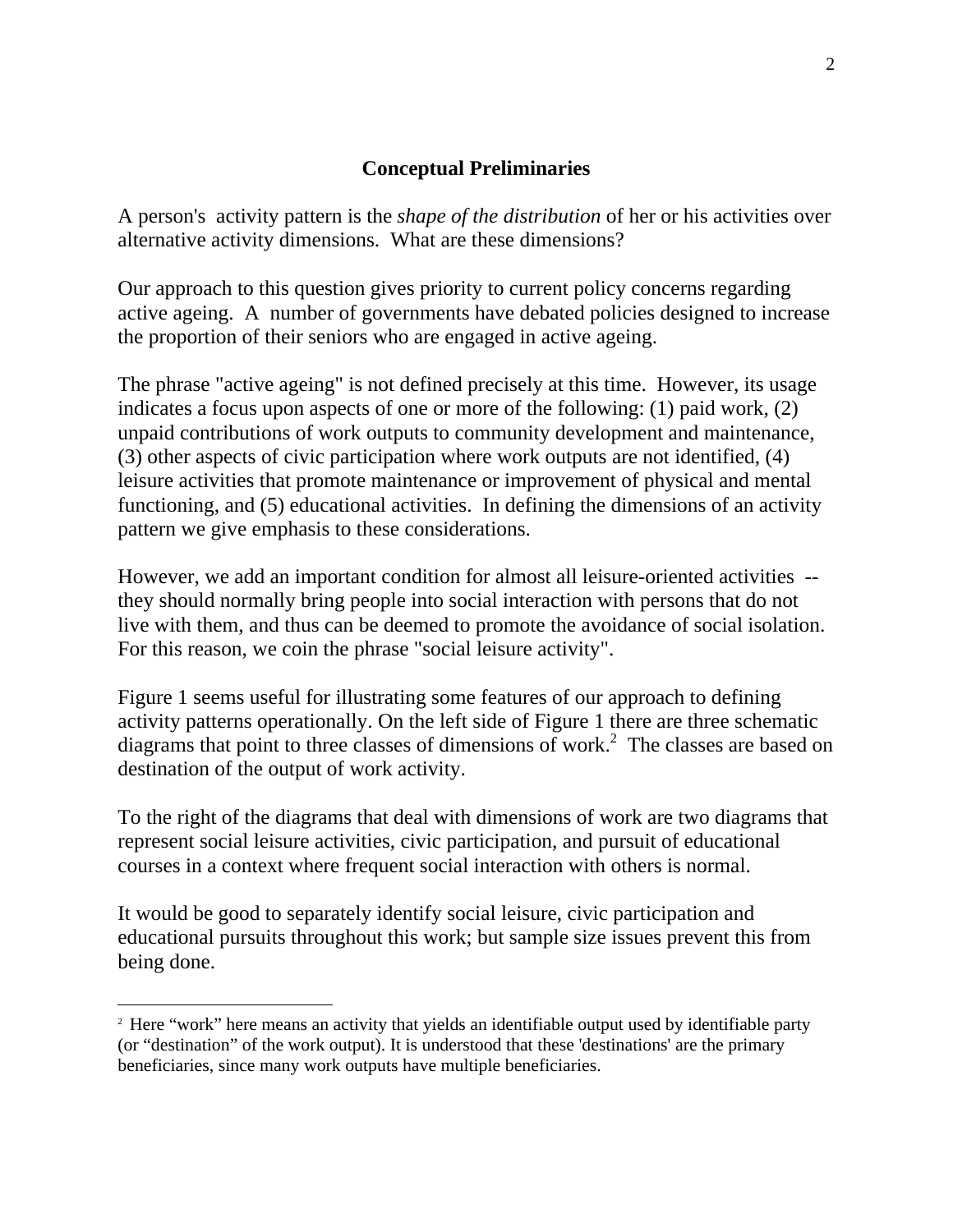#### **Conceptual Preliminaries**

A person's activity pattern is the *shape of the distribution* of her or his activities over alternative activity dimensions. What are these dimensions?

Our approach to this question gives priority to current policy concerns regarding active ageing. A number of governments have debated policies designed to increase the proportion of their seniors who are engaged in active ageing.

The phrase "active ageing" is not defined precisely at this time. However, its usage indicates a focus upon aspects of one or more of the following: (1) paid work, (2) unpaid contributions of work outputs to community development and maintenance, (3) other aspects of civic participation where work outputs are not identified, (4) leisure activities that promote maintenance or improvement of physical and mental functioning, and (5) educational activities. In defining the dimensions of an activity pattern we give emphasis to these considerations.

However, we add an important condition for almost all leisure-oriented activities - they should normally bring people into social interaction with persons that do not live with them, and thus can be deemed to promote the avoidance of social isolation. For this reason, we coin the phrase "social leisure activity".

Figure 1 seems useful for illustrating some features of our approach to defining activity patterns operationally. On the left side of Figure 1 there are three schematic diagrams that point to three classes of dimensions of work.<sup>2</sup> The classes are based on destination of the output of work activity.

To the right of the diagrams that deal with dimensions of work are two diagrams that represent social leisure activities, civic participation, and pursuit of educational courses in a context where frequent social interaction with others is normal.

It would be good to separately identify social leisure, civic participation and educational pursuits throughout this work; but sample size issues prevent this from being done.

l

<sup>&</sup>lt;sup>2</sup> Here "work" here means an activity that yields an identifiable output used by identifiable party (or "destination" of the work output). It is understood that these 'destinations' are the primary beneficiaries, since many work outputs have multiple beneficiaries.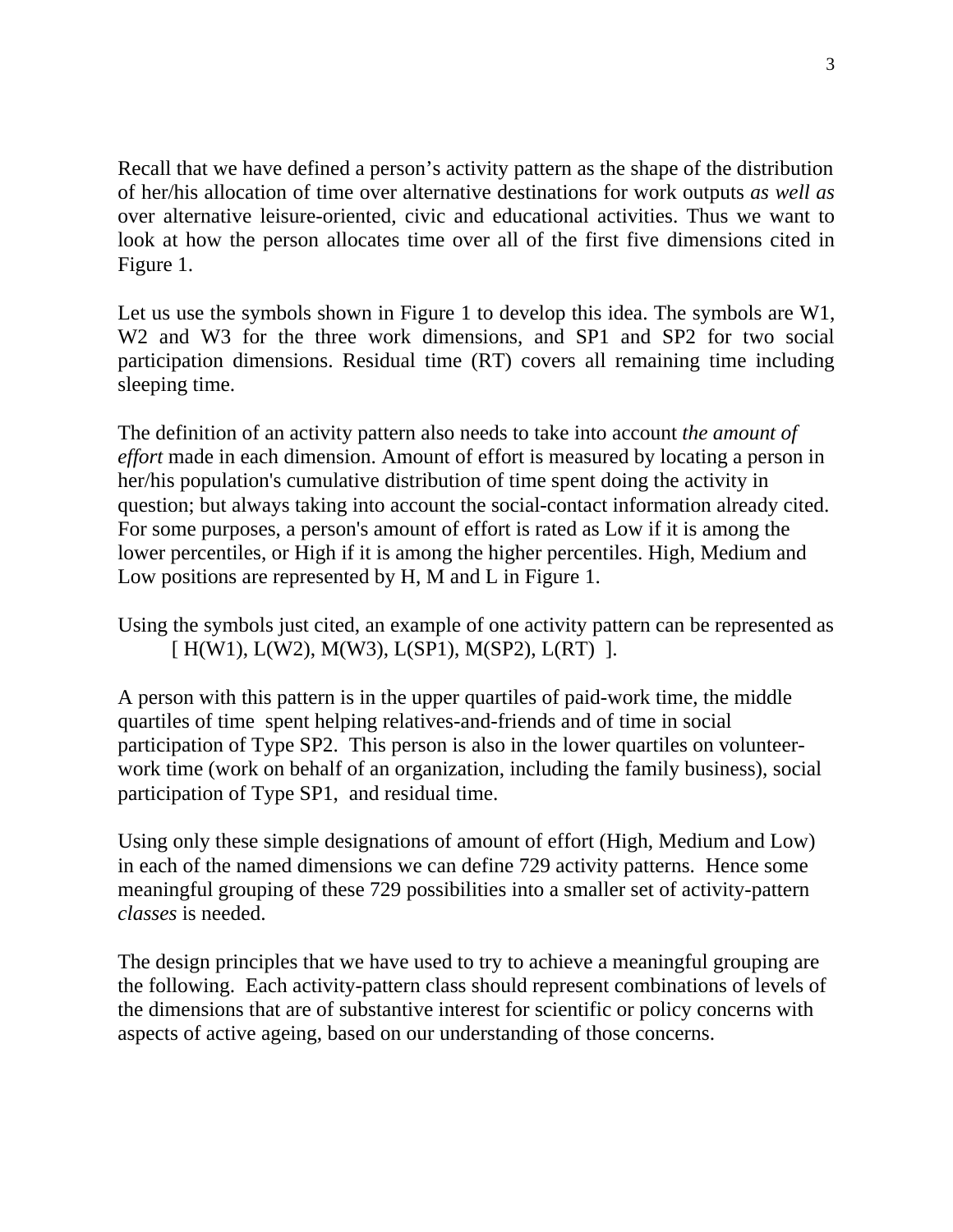Recall that we have defined a person's activity pattern as the shape of the distribution of her/his allocation of time over alternative destinations for work outputs *as well as* over alternative leisure-oriented, civic and educational activities. Thus we want to look at how the person allocates time over all of the first five dimensions cited in Figure 1.

Let us use the symbols shown in Figure 1 to develop this idea. The symbols are W1, W<sub>2</sub> and W<sub>3</sub> for the three work dimensions, and SP<sub>1</sub> and SP<sub>2</sub> for two social participation dimensions. Residual time (RT) covers all remaining time including sleeping time.

The definition of an activity pattern also needs to take into account *the amount of effort* made in each dimension. Amount of effort is measured by locating a person in her/his population's cumulative distribution of time spent doing the activity in question; but always taking into account the social-contact information already cited. For some purposes, a person's amount of effort is rated as Low if it is among the lower percentiles, or High if it is among the higher percentiles. High, Medium and Low positions are represented by H, M and L in Figure 1.

Using the symbols just cited, an example of one activity pattern can be represented as [  $H(W1)$ ,  $L(W2)$ ,  $M(W3)$ ,  $L(SP1)$ ,  $M(SP2)$ ,  $L(RT)$  ].

A person with this pattern is in the upper quartiles of paid-work time, the middle quartiles of time spent helping relatives-and-friends and of time in social participation of Type SP2. This person is also in the lower quartiles on volunteerwork time (work on behalf of an organization, including the family business), social participation of Type SP1, and residual time.

Using only these simple designations of amount of effort (High, Medium and Low) in each of the named dimensions we can define 729 activity patterns. Hence some meaningful grouping of these 729 possibilities into a smaller set of activity-pattern *classes* is needed.

The design principles that we have used to try to achieve a meaningful grouping are the following. Each activity-pattern class should represent combinations of levels of the dimensions that are of substantive interest for scientific or policy concerns with aspects of active ageing, based on our understanding of those concerns.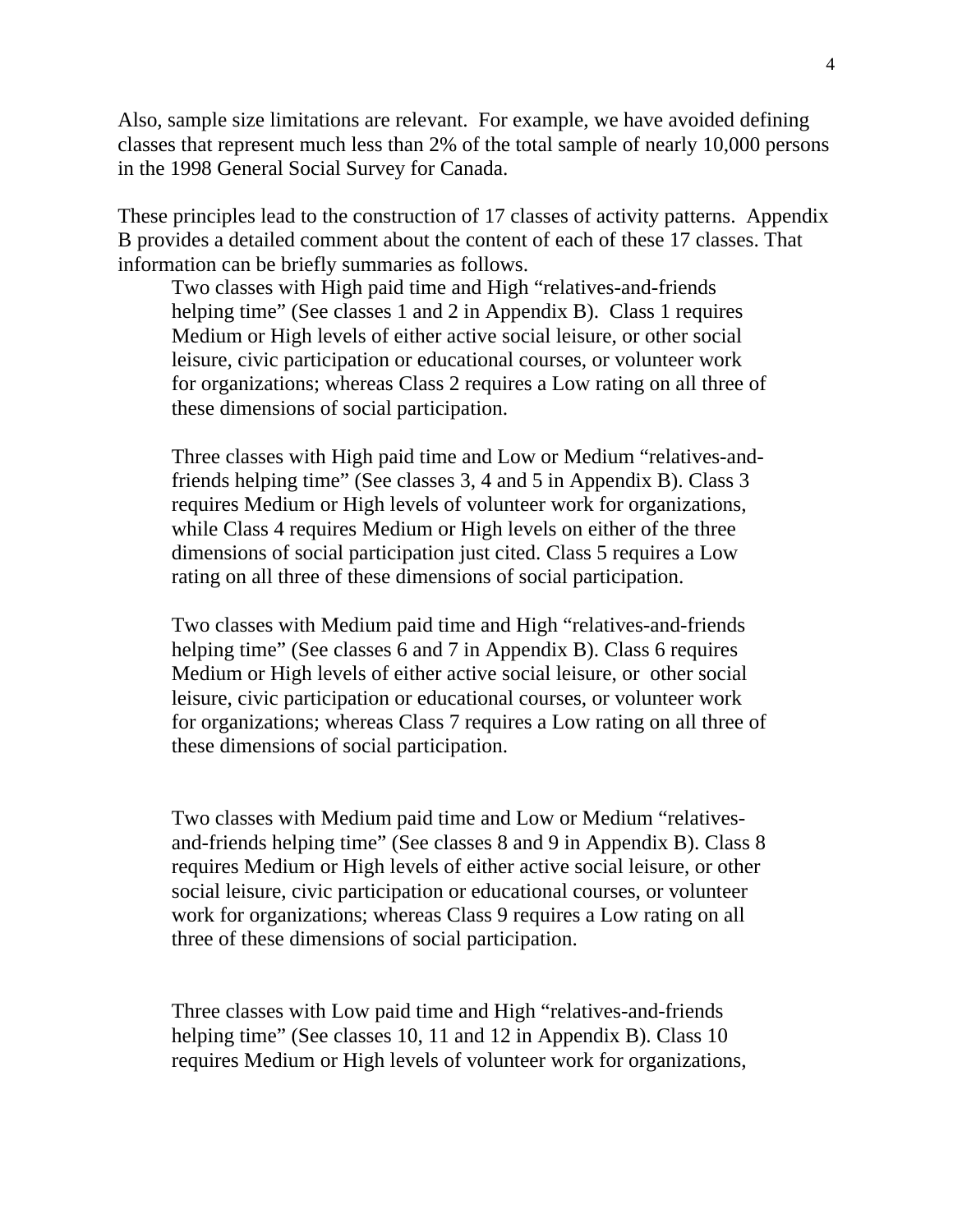Also, sample size limitations are relevant. For example, we have avoided defining classes that represent much less than 2% of the total sample of nearly 10,000 persons in the 1998 General Social Survey for Canada.

These principles lead to the construction of 17 classes of activity patterns. Appendix B provides a detailed comment about the content of each of these 17 classes. That information can be briefly summaries as follows.

Two classes with High paid time and High "relatives-and-friends helping time" (See classes 1 and 2 in Appendix B). Class 1 requires Medium or High levels of either active social leisure, or other social leisure, civic participation or educational courses, or volunteer work for organizations; whereas Class 2 requires a Low rating on all three of these dimensions of social participation.

Three classes with High paid time and Low or Medium "relatives-andfriends helping time" (See classes 3, 4 and 5 in Appendix B). Class 3 requires Medium or High levels of volunteer work for organizations, while Class 4 requires Medium or High levels on either of the three dimensions of social participation just cited. Class 5 requires a Low rating on all three of these dimensions of social participation.

Two classes with Medium paid time and High "relatives-and-friends helping time" (See classes 6 and 7 in Appendix B). Class 6 requires Medium or High levels of either active social leisure, or other social leisure, civic participation or educational courses, or volunteer work for organizations; whereas Class 7 requires a Low rating on all three of these dimensions of social participation.

Two classes with Medium paid time and Low or Medium "relativesand-friends helping time" (See classes 8 and 9 in Appendix B). Class 8 requires Medium or High levels of either active social leisure, or other social leisure, civic participation or educational courses, or volunteer work for organizations; whereas Class 9 requires a Low rating on all three of these dimensions of social participation.

Three classes with Low paid time and High "relatives-and-friends helping time" (See classes 10, 11 and 12 in Appendix B). Class 10 requires Medium or High levels of volunteer work for organizations,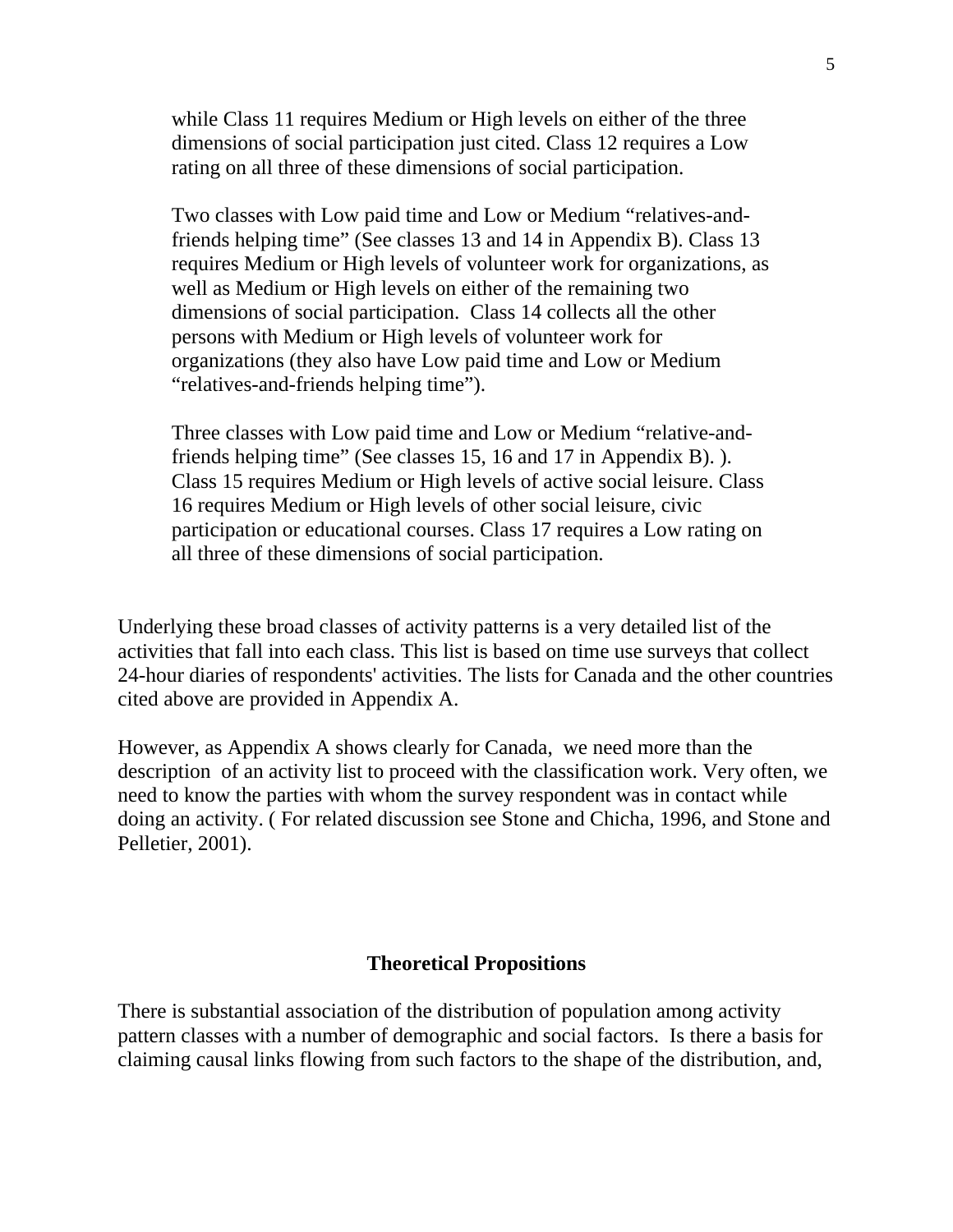while Class 11 requires Medium or High levels on either of the three dimensions of social participation just cited. Class 12 requires a Low rating on all three of these dimensions of social participation.

Two classes with Low paid time and Low or Medium "relatives-andfriends helping time" (See classes 13 and 14 in Appendix B). Class 13 requires Medium or High levels of volunteer work for organizations, as well as Medium or High levels on either of the remaining two dimensions of social participation. Class 14 collects all the other persons with Medium or High levels of volunteer work for organizations (they also have Low paid time and Low or Medium "relatives-and-friends helping time").

Three classes with Low paid time and Low or Medium "relative-andfriends helping time" (See classes 15, 16 and 17 in Appendix B). ). Class 15 requires Medium or High levels of active social leisure. Class 16 requires Medium or High levels of other social leisure, civic participation or educational courses. Class 17 requires a Low rating on all three of these dimensions of social participation.

Underlying these broad classes of activity patterns is a very detailed list of the activities that fall into each class. This list is based on time use surveys that collect 24-hour diaries of respondents' activities. The lists for Canada and the other countries cited above are provided in Appendix A.

However, as Appendix A shows clearly for Canada, we need more than the description of an activity list to proceed with the classification work. Very often, we need to know the parties with whom the survey respondent was in contact while doing an activity. ( For related discussion see Stone and Chicha, 1996, and Stone and Pelletier, 2001).

#### **Theoretical Propositions**

There is substantial association of the distribution of population among activity pattern classes with a number of demographic and social factors. Is there a basis for claiming causal links flowing from such factors to the shape of the distribution, and,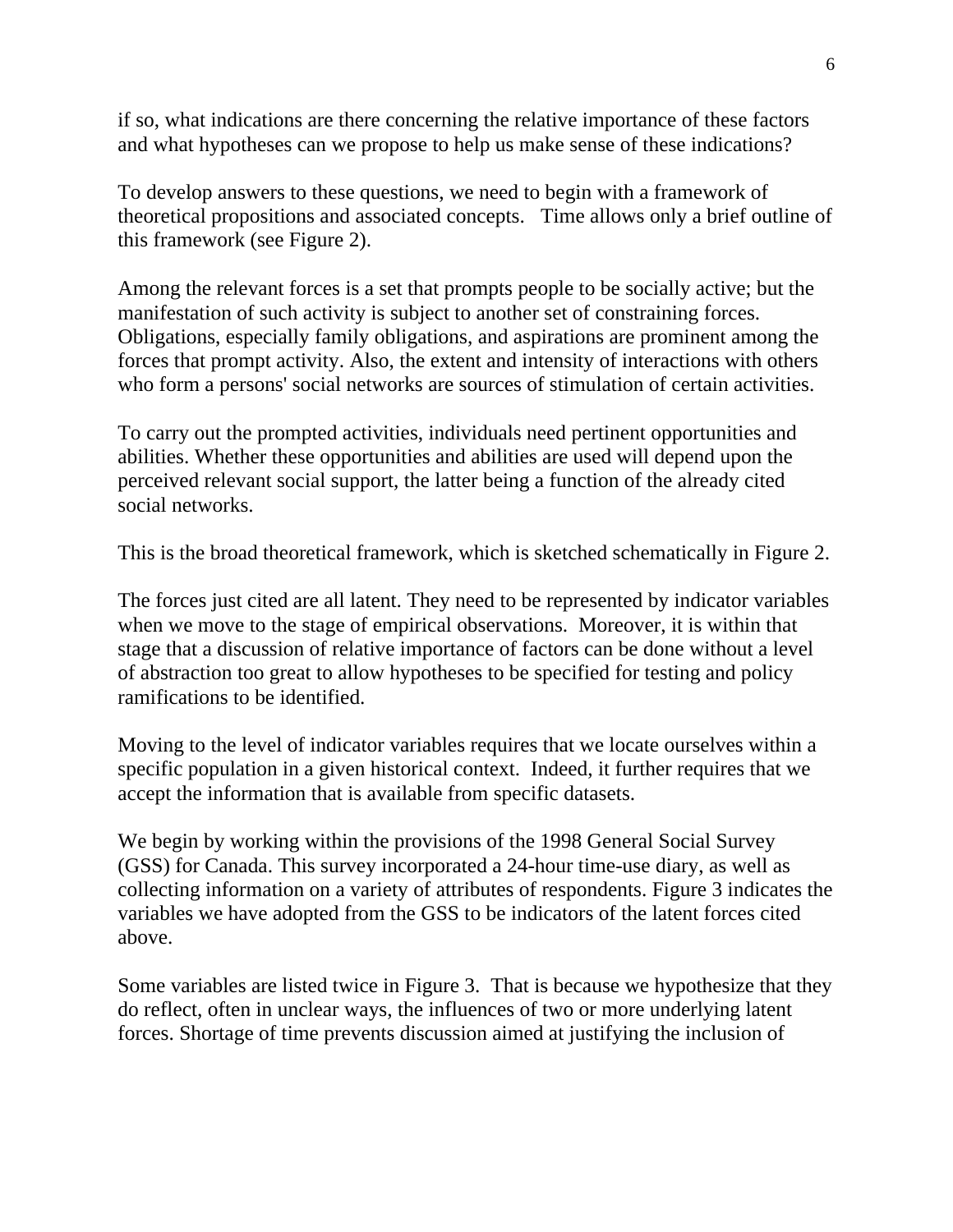if so, what indications are there concerning the relative importance of these factors and what hypotheses can we propose to help us make sense of these indications?

To develop answers to these questions, we need to begin with a framework of theoretical propositions and associated concepts. Time allows only a brief outline of this framework (see Figure 2).

Among the relevant forces is a set that prompts people to be socially active; but the manifestation of such activity is subject to another set of constraining forces. Obligations, especially family obligations, and aspirations are prominent among the forces that prompt activity. Also, the extent and intensity of interactions with others who form a persons' social networks are sources of stimulation of certain activities.

To carry out the prompted activities, individuals need pertinent opportunities and abilities. Whether these opportunities and abilities are used will depend upon the perceived relevant social support, the latter being a function of the already cited social networks.

This is the broad theoretical framework, which is sketched schematically in Figure 2.

The forces just cited are all latent. They need to be represented by indicator variables when we move to the stage of empirical observations. Moreover, it is within that stage that a discussion of relative importance of factors can be done without a level of abstraction too great to allow hypotheses to be specified for testing and policy ramifications to be identified.

Moving to the level of indicator variables requires that we locate ourselves within a specific population in a given historical context. Indeed, it further requires that we accept the information that is available from specific datasets.

We begin by working within the provisions of the 1998 General Social Survey (GSS) for Canada. This survey incorporated a 24-hour time-use diary, as well as collecting information on a variety of attributes of respondents. Figure 3 indicates the variables we have adopted from the GSS to be indicators of the latent forces cited above.

Some variables are listed twice in Figure 3. That is because we hypothesize that they do reflect, often in unclear ways, the influences of two or more underlying latent forces. Shortage of time prevents discussion aimed at justifying the inclusion of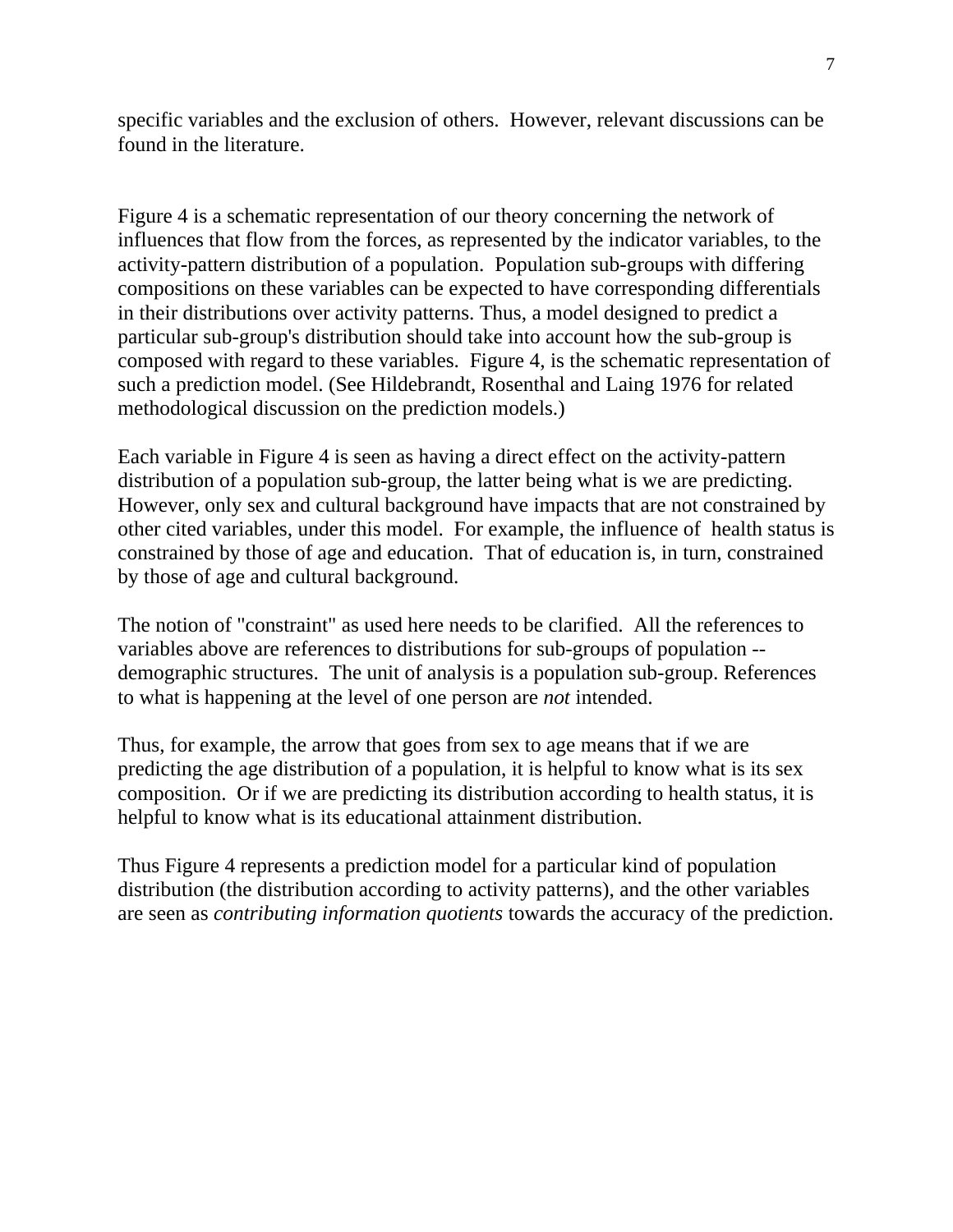specific variables and the exclusion of others. However, relevant discussions can be found in the literature.

Figure 4 is a schematic representation of our theory concerning the network of influences that flow from the forces, as represented by the indicator variables, to the activity-pattern distribution of a population. Population sub-groups with differing compositions on these variables can be expected to have corresponding differentials in their distributions over activity patterns. Thus, a model designed to predict a particular sub-group's distribution should take into account how the sub-group is composed with regard to these variables. Figure 4, is the schematic representation of such a prediction model. (See Hildebrandt, Rosenthal and Laing 1976 for related methodological discussion on the prediction models.)

Each variable in Figure 4 is seen as having a direct effect on the activity-pattern distribution of a population sub-group, the latter being what is we are predicting. However, only sex and cultural background have impacts that are not constrained by other cited variables, under this model. For example, the influence of health status is constrained by those of age and education. That of education is, in turn, constrained by those of age and cultural background.

The notion of "constraint" as used here needs to be clarified. All the references to variables above are references to distributions for sub-groups of population - demographic structures. The unit of analysis is a population sub-group. References to what is happening at the level of one person are *not* intended.

Thus, for example, the arrow that goes from sex to age means that if we are predicting the age distribution of a population, it is helpful to know what is its sex composition. Or if we are predicting its distribution according to health status, it is helpful to know what is its educational attainment distribution.

Thus Figure 4 represents a prediction model for a particular kind of population distribution (the distribution according to activity patterns), and the other variables are seen as *contributing information quotients* towards the accuracy of the prediction.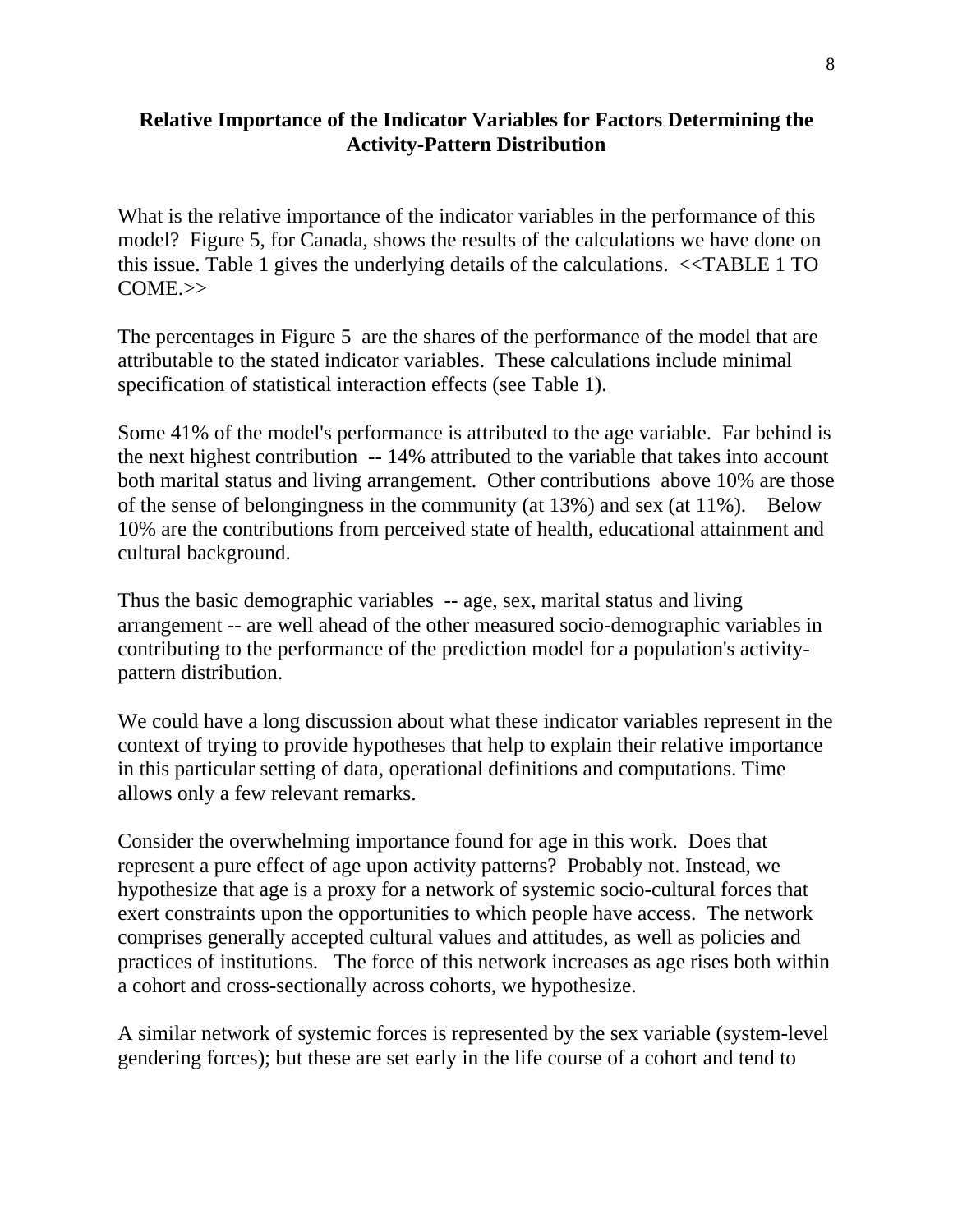# **Relative Importance of the Indicator Variables for Factors Determining the Activity-Pattern Distribution**

What is the relative importance of the indicator variables in the performance of this model? Figure 5, for Canada, shows the results of the calculations we have done on this issue. Table 1 gives the underlying details of the calculations. <<TABLE 1 TO COME.>>

The percentages in Figure 5 are the shares of the performance of the model that are attributable to the stated indicator variables. These calculations include minimal specification of statistical interaction effects (see Table 1).

Some 41% of the model's performance is attributed to the age variable. Far behind is the next highest contribution -- 14% attributed to the variable that takes into account both marital status and living arrangement. Other contributions above 10% are those of the sense of belongingness in the community (at 13%) and sex (at 11%). Below 10% are the contributions from perceived state of health, educational attainment and cultural background.

Thus the basic demographic variables -- age, sex, marital status and living arrangement -- are well ahead of the other measured socio-demographic variables in contributing to the performance of the prediction model for a population's activitypattern distribution.

We could have a long discussion about what these indicator variables represent in the context of trying to provide hypotheses that help to explain their relative importance in this particular setting of data, operational definitions and computations. Time allows only a few relevant remarks.

Consider the overwhelming importance found for age in this work. Does that represent a pure effect of age upon activity patterns? Probably not. Instead, we hypothesize that age is a proxy for a network of systemic socio-cultural forces that exert constraints upon the opportunities to which people have access. The network comprises generally accepted cultural values and attitudes, as well as policies and practices of institutions. The force of this network increases as age rises both within a cohort and cross-sectionally across cohorts, we hypothesize.

A similar network of systemic forces is represented by the sex variable (system-level gendering forces); but these are set early in the life course of a cohort and tend to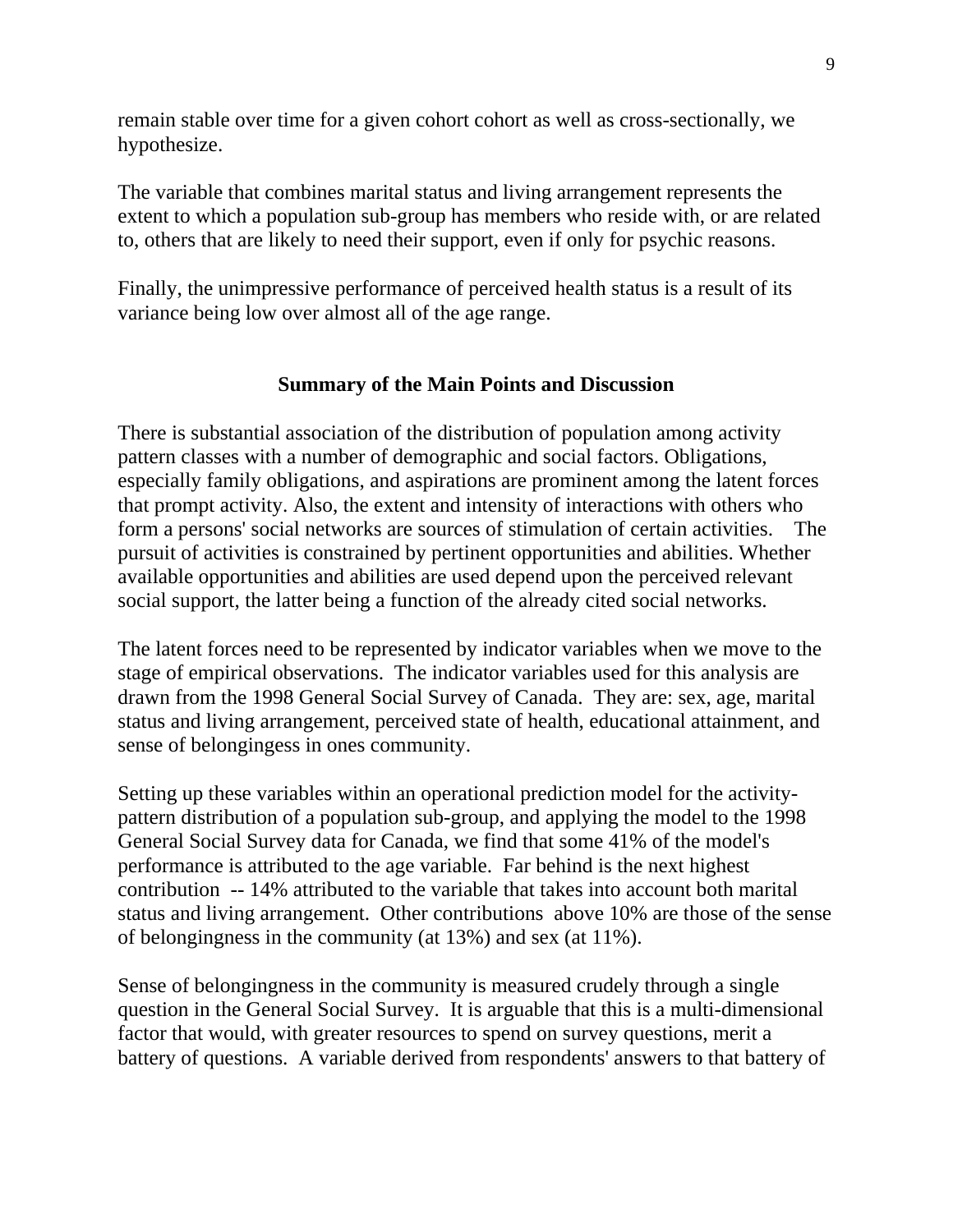remain stable over time for a given cohort cohort as well as cross-sectionally, we hypothesize.

The variable that combines marital status and living arrangement represents the extent to which a population sub-group has members who reside with, or are related to, others that are likely to need their support, even if only for psychic reasons.

Finally, the unimpressive performance of perceived health status is a result of its variance being low over almost all of the age range.

# **Summary of the Main Points and Discussion**

There is substantial association of the distribution of population among activity pattern classes with a number of demographic and social factors. Obligations, especially family obligations, and aspirations are prominent among the latent forces that prompt activity. Also, the extent and intensity of interactions with others who form a persons' social networks are sources of stimulation of certain activities. The pursuit of activities is constrained by pertinent opportunities and abilities. Whether available opportunities and abilities are used depend upon the perceived relevant social support, the latter being a function of the already cited social networks.

The latent forces need to be represented by indicator variables when we move to the stage of empirical observations. The indicator variables used for this analysis are drawn from the 1998 General Social Survey of Canada. They are: sex, age, marital status and living arrangement, perceived state of health, educational attainment, and sense of belongingess in ones community.

Setting up these variables within an operational prediction model for the activitypattern distribution of a population sub-group, and applying the model to the 1998 General Social Survey data for Canada, we find that some 41% of the model's performance is attributed to the age variable. Far behind is the next highest contribution -- 14% attributed to the variable that takes into account both marital status and living arrangement. Other contributions above 10% are those of the sense of belongingness in the community (at 13%) and sex (at 11%).

Sense of belongingness in the community is measured crudely through a single question in the General Social Survey. It is arguable that this is a multi-dimensional factor that would, with greater resources to spend on survey questions, merit a battery of questions. A variable derived from respondents' answers to that battery of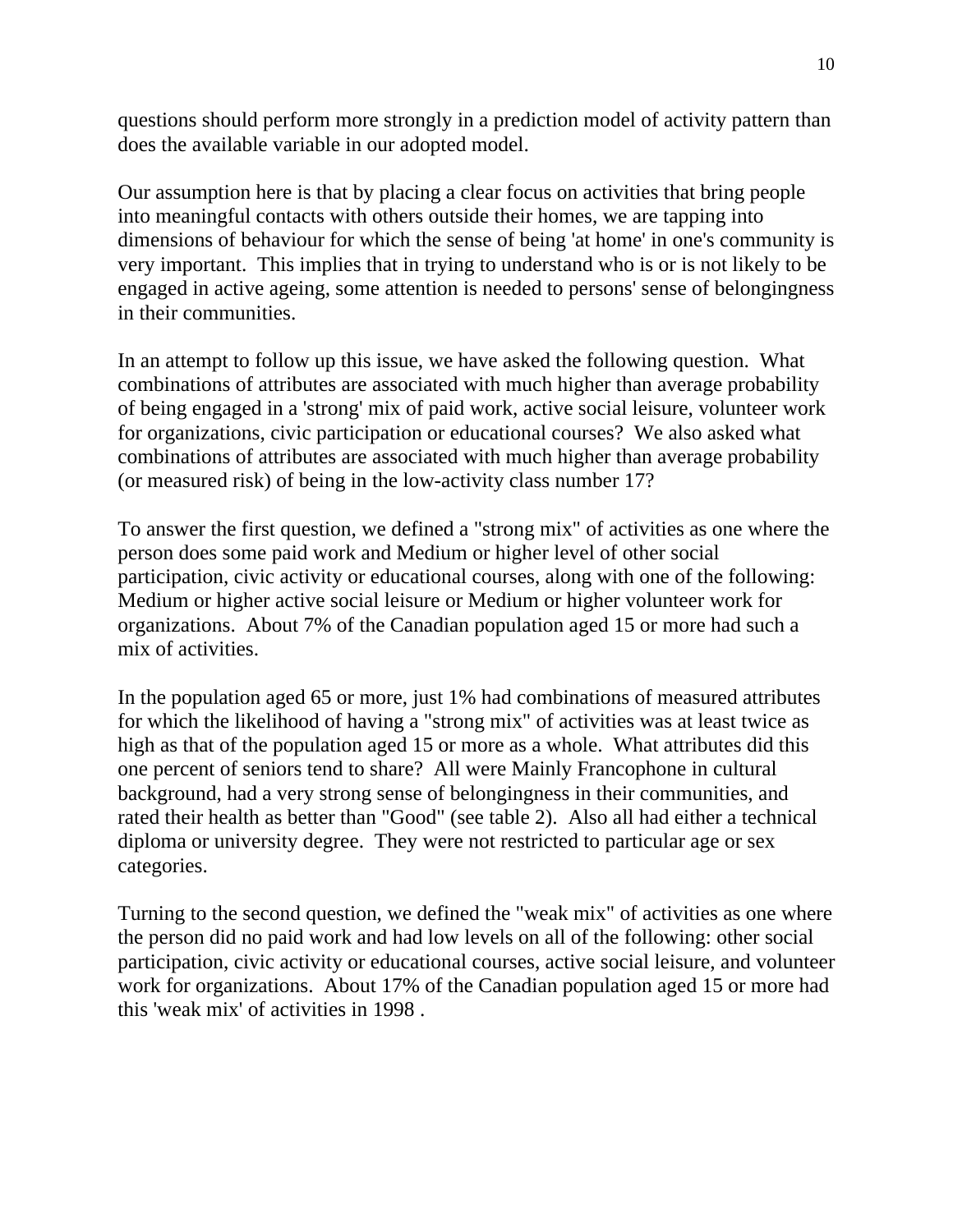questions should perform more strongly in a prediction model of activity pattern than does the available variable in our adopted model.

Our assumption here is that by placing a clear focus on activities that bring people into meaningful contacts with others outside their homes, we are tapping into dimensions of behaviour for which the sense of being 'at home' in one's community is very important. This implies that in trying to understand who is or is not likely to be engaged in active ageing, some attention is needed to persons' sense of belongingness in their communities.

In an attempt to follow up this issue, we have asked the following question. What combinations of attributes are associated with much higher than average probability of being engaged in a 'strong' mix of paid work, active social leisure, volunteer work for organizations, civic participation or educational courses? We also asked what combinations of attributes are associated with much higher than average probability (or measured risk) of being in the low-activity class number 17?

To answer the first question, we defined a "strong mix" of activities as one where the person does some paid work and Medium or higher level of other social participation, civic activity or educational courses, along with one of the following: Medium or higher active social leisure or Medium or higher volunteer work for organizations. About 7% of the Canadian population aged 15 or more had such a mix of activities.

In the population aged 65 or more, just 1% had combinations of measured attributes for which the likelihood of having a "strong mix" of activities was at least twice as high as that of the population aged 15 or more as a whole. What attributes did this one percent of seniors tend to share? All were Mainly Francophone in cultural background, had a very strong sense of belongingness in their communities, and rated their health as better than "Good" (see table 2). Also all had either a technical diploma or university degree. They were not restricted to particular age or sex categories.

Turning to the second question, we defined the "weak mix" of activities as one where the person did no paid work and had low levels on all of the following: other social participation, civic activity or educational courses, active social leisure, and volunteer work for organizations. About 17% of the Canadian population aged 15 or more had this 'weak mix' of activities in 1998 .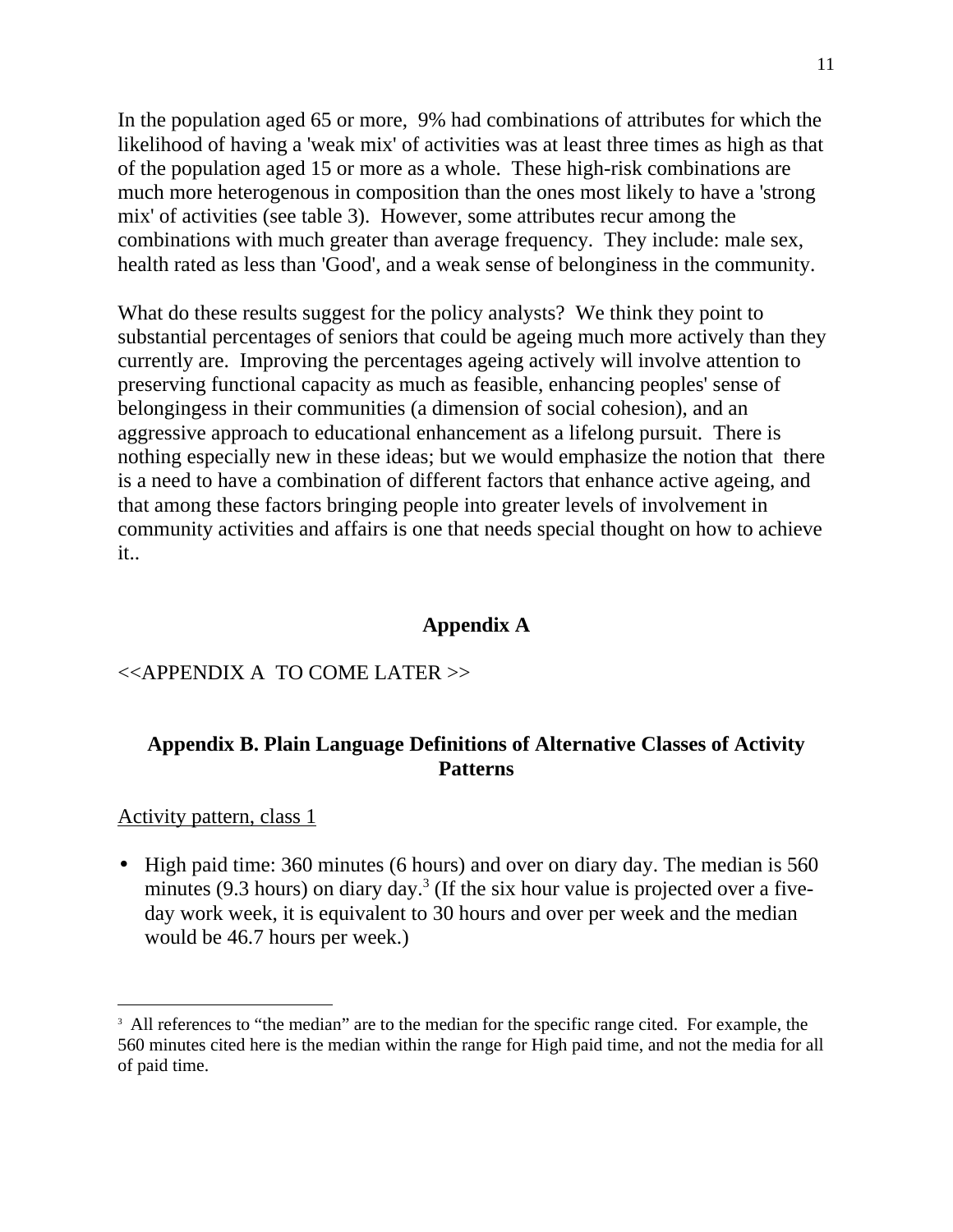In the population aged 65 or more, 9% had combinations of attributes for which the likelihood of having a 'weak mix' of activities was at least three times as high as that of the population aged 15 or more as a whole. These high-risk combinations are much more heterogenous in composition than the ones most likely to have a 'strong mix' of activities (see table 3). However, some attributes recur among the combinations with much greater than average frequency. They include: male sex, health rated as less than 'Good', and a weak sense of belonginess in the community.

What do these results suggest for the policy analysts? We think they point to substantial percentages of seniors that could be ageing much more actively than they currently are. Improving the percentages ageing actively will involve attention to preserving functional capacity as much as feasible, enhancing peoples' sense of belongingess in their communities (a dimension of social cohesion), and an aggressive approach to educational enhancement as a lifelong pursuit. There is nothing especially new in these ideas; but we would emphasize the notion that there is a need to have a combination of different factors that enhance active ageing, and that among these factors bringing people into greater levels of involvement in community activities and affairs is one that needs special thought on how to achieve it..

#### **Appendix A**

#### <<APPENDIX A TO COME LATER >>

# **Appendix B. Plain Language Definitions of Alternative Classes of Activity Patterns**

#### Activity pattern, class 1

l

• High paid time: 360 minutes (6 hours) and over on diary day. The median is 560 minutes (9.3 hours) on diary day.<sup>3</sup> (If the six hour value is projected over a fiveday work week, it is equivalent to 30 hours and over per week and the median would be 46.7 hours per week.)

<sup>&</sup>lt;sup>3</sup> All references to "the median" are to the median for the specific range cited. For example, the 560 minutes cited here is the median within the range for High paid time, and not the media for all of paid time.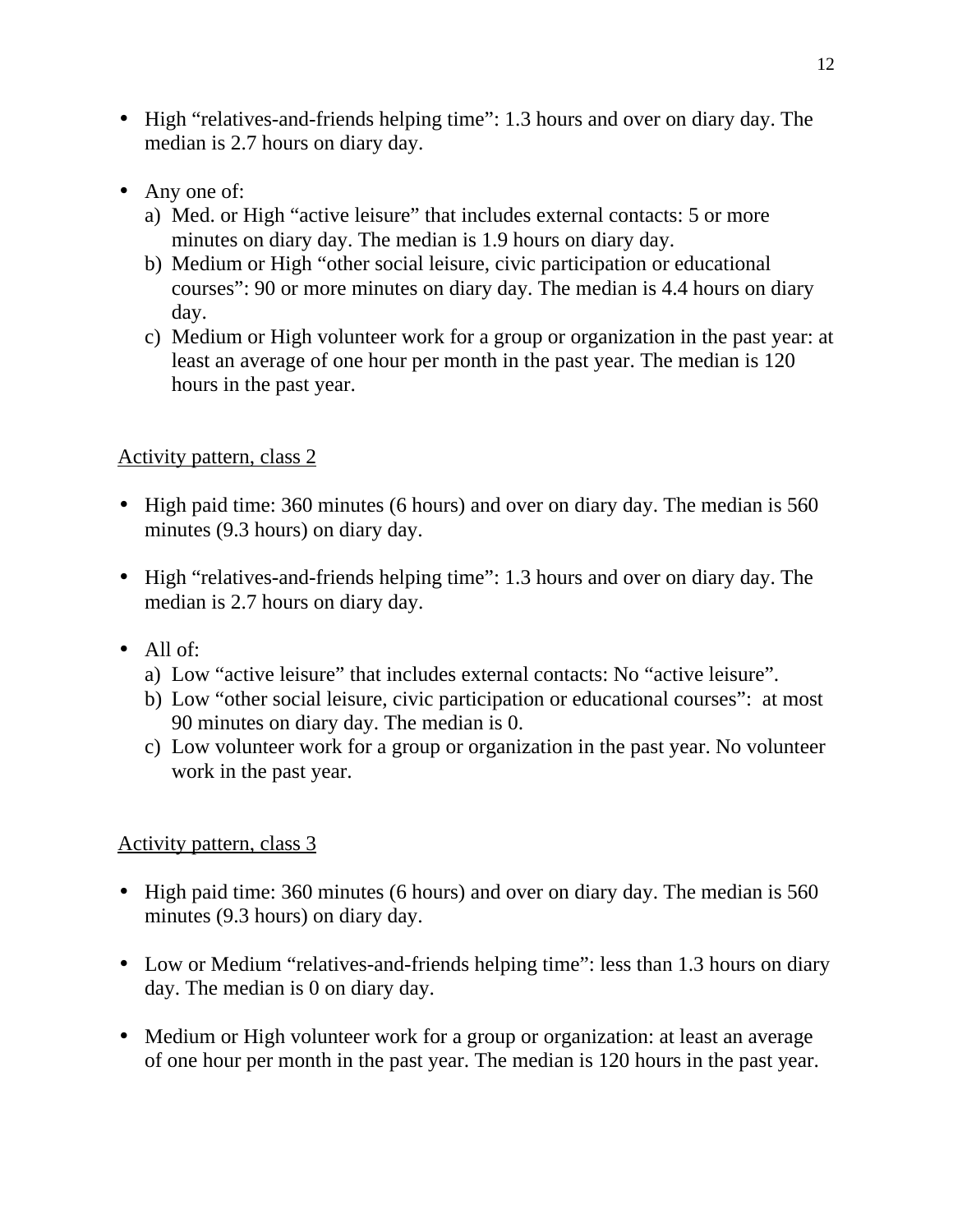- High "relatives-and-friends helping time": 1.3 hours and over on diary day. The median is 2.7 hours on diary day.
- Any one of:
	- a) Med. or High "active leisure" that includes external contacts: 5 or more minutes on diary day. The median is 1.9 hours on diary day.
	- b) Medium or High "other social leisure, civic participation or educational courses": 90 or more minutes on diary day. The median is 4.4 hours on diary day.
	- c) Medium or High volunteer work for a group or organization in the past year: at least an average of one hour per month in the past year. The median is 120 hours in the past year.

- High paid time: 360 minutes (6 hours) and over on diary day. The median is 560 minutes (9.3 hours) on diary day.
- High "relatives-and-friends helping time": 1.3 hours and over on diary day. The median is 2.7 hours on diary day.
- All of:
	- a) Low "active leisure" that includes external contacts: No "active leisure".
	- b) Low "other social leisure, civic participation or educational courses": at most 90 minutes on diary day. The median is 0.
	- c) Low volunteer work for a group or organization in the past year. No volunteer work in the past year.

- High paid time: 360 minutes (6 hours) and over on diary day. The median is 560 minutes (9.3 hours) on diary day.
- Low or Medium "relatives-and-friends helping time": less than 1.3 hours on diary day. The median is 0 on diary day.
- Medium or High volunteer work for a group or organization: at least an average of one hour per month in the past year. The median is 120 hours in the past year.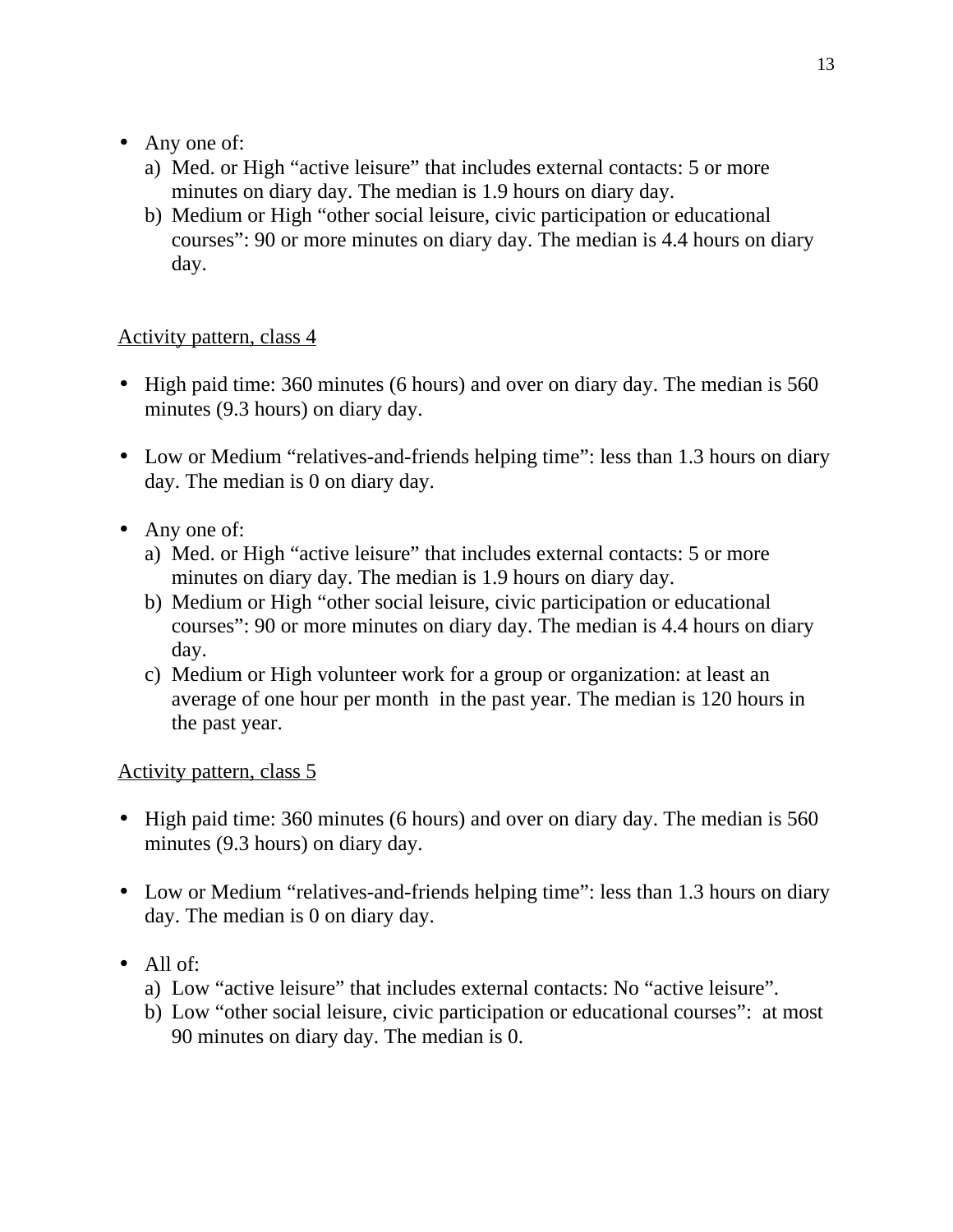# • Any one of:

- a) Med. or High "active leisure" that includes external contacts: 5 or more minutes on diary day. The median is 1.9 hours on diary day.
- b) Medium or High "other social leisure, civic participation or educational courses": 90 or more minutes on diary day. The median is 4.4 hours on diary day.

# Activity pattern, class 4

- High paid time: 360 minutes (6 hours) and over on diary day. The median is 560 minutes (9.3 hours) on diary day.
- Low or Medium "relatives-and-friends helping time": less than 1.3 hours on diary day. The median is 0 on diary day.
- Any one of:
	- a) Med. or High "active leisure" that includes external contacts: 5 or more minutes on diary day. The median is 1.9 hours on diary day.
	- b) Medium or High "other social leisure, civic participation or educational courses": 90 or more minutes on diary day. The median is 4.4 hours on diary day.
	- c) Medium or High volunteer work for a group or organization: at least an average of one hour per month in the past year. The median is 120 hours in the past year.

- High paid time: 360 minutes (6 hours) and over on diary day. The median is 560 minutes (9.3 hours) on diary day.
- Low or Medium "relatives-and-friends helping time": less than 1.3 hours on diary day. The median is 0 on diary day.
- $\cdot$  All of:
	- a) Low "active leisure" that includes external contacts: No "active leisure".
	- b) Low "other social leisure, civic participation or educational courses": at most 90 minutes on diary day. The median is 0.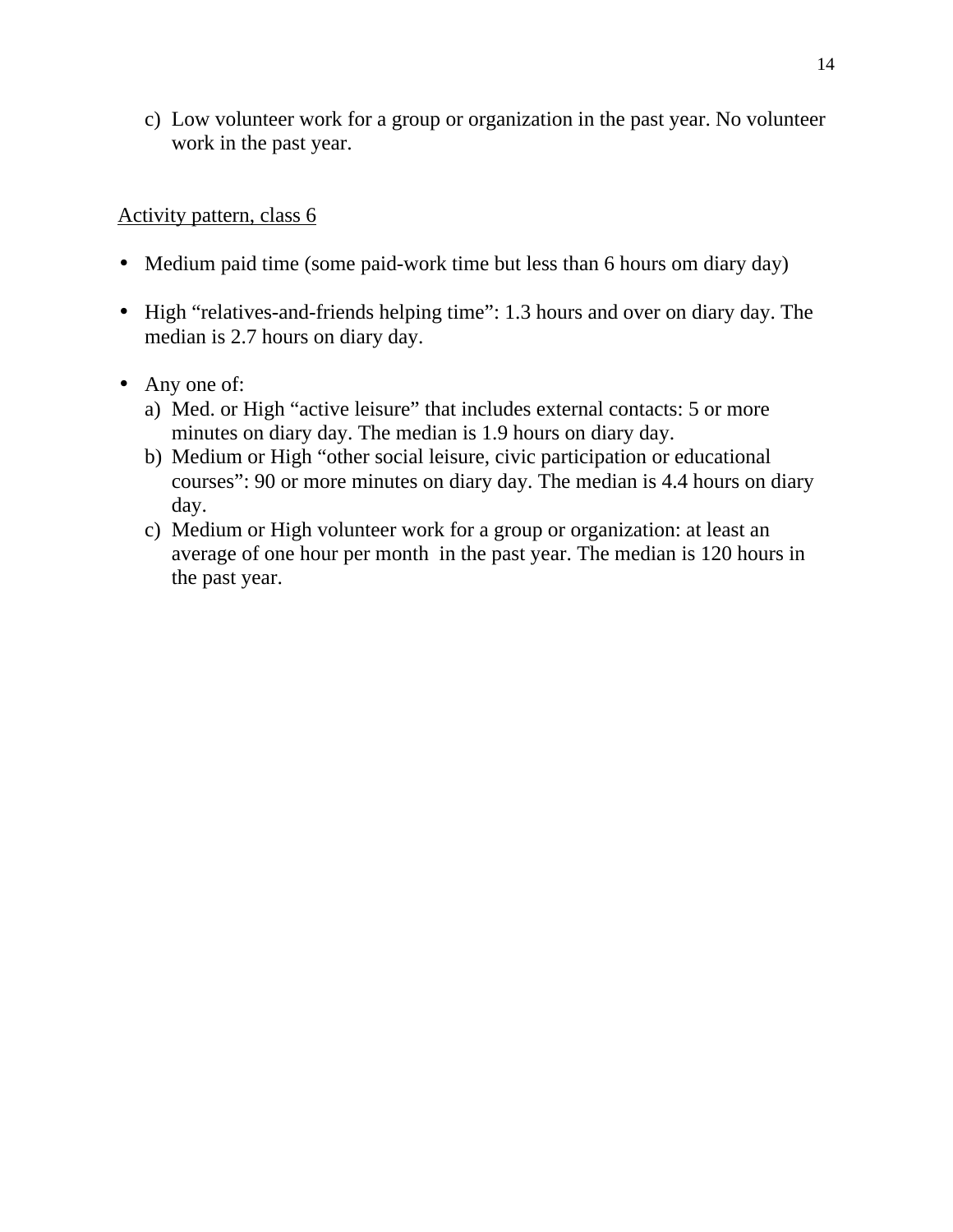c) Low volunteer work for a group or organization in the past year. No volunteer work in the past year.

- Medium paid time (some paid-work time but less than 6 hours om diary day)
- High "relatives-and-friends helping time": 1.3 hours and over on diary day. The median is 2.7 hours on diary day.
- Any one of:
	- a) Med. or High "active leisure" that includes external contacts: 5 or more minutes on diary day. The median is 1.9 hours on diary day.
	- b) Medium or High "other social leisure, civic participation or educational courses": 90 or more minutes on diary day. The median is 4.4 hours on diary day.
	- c) Medium or High volunteer work for a group or organization: at least an average of one hour per month in the past year. The median is 120 hours in the past year.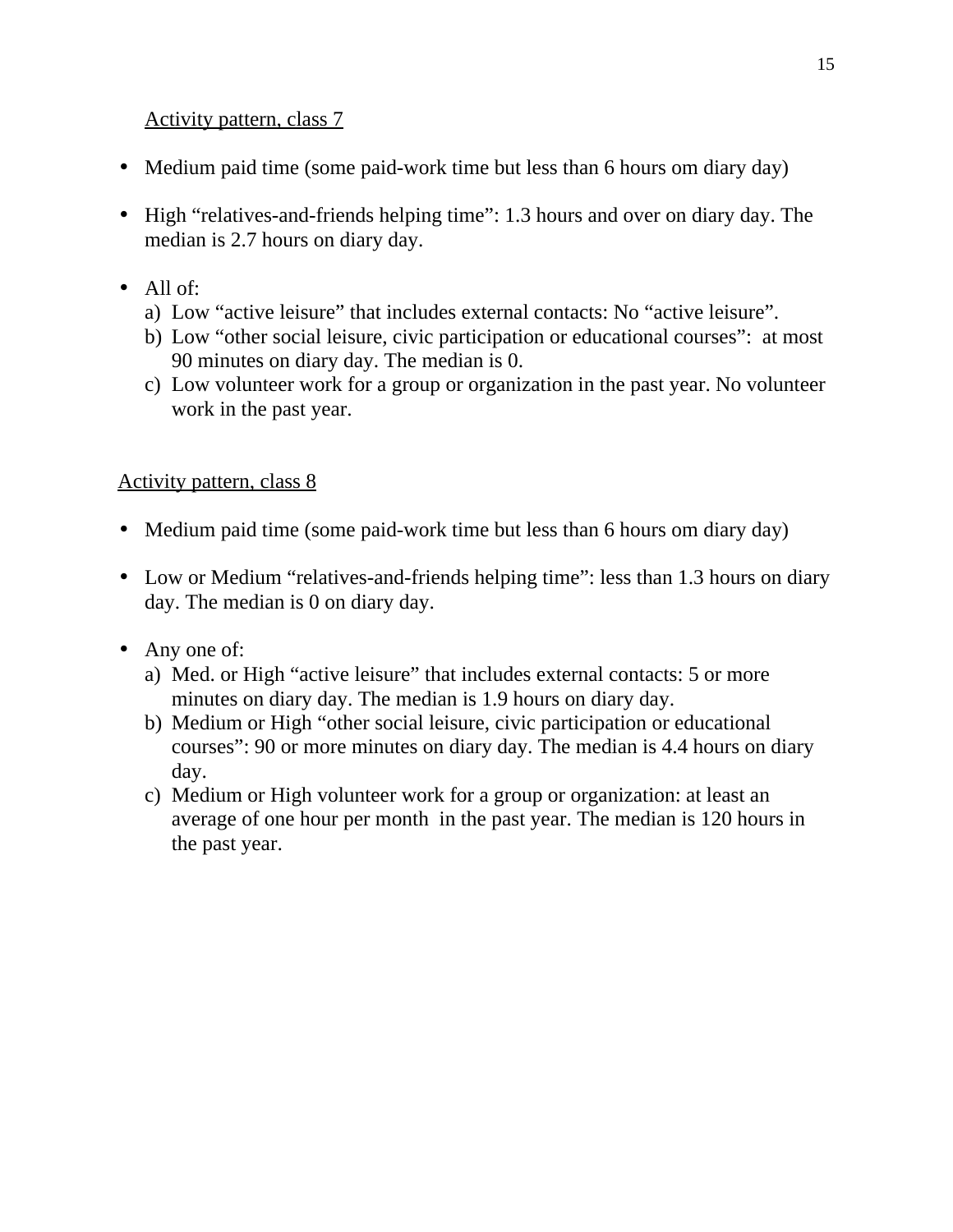- Medium paid time (some paid-work time but less than 6 hours om diary day)
- High "relatives-and-friends helping time": 1.3 hours and over on diary day. The median is 2.7 hours on diary day.
- All of:
	- a) Low "active leisure" that includes external contacts: No "active leisure".
	- b) Low "other social leisure, civic participation or educational courses": at most 90 minutes on diary day. The median is 0.
	- c) Low volunteer work for a group or organization in the past year. No volunteer work in the past year.

- Medium paid time (some paid-work time but less than 6 hours om diary day)
- Low or Medium "relatives-and-friends helping time": less than 1.3 hours on diary day. The median is 0 on diary day.
- Any one of:
	- a) Med. or High "active leisure" that includes external contacts: 5 or more minutes on diary day. The median is 1.9 hours on diary day.
	- b) Medium or High "other social leisure, civic participation or educational courses": 90 or more minutes on diary day. The median is 4.4 hours on diary day.
	- c) Medium or High volunteer work for a group or organization: at least an average of one hour per month in the past year. The median is 120 hours in the past year.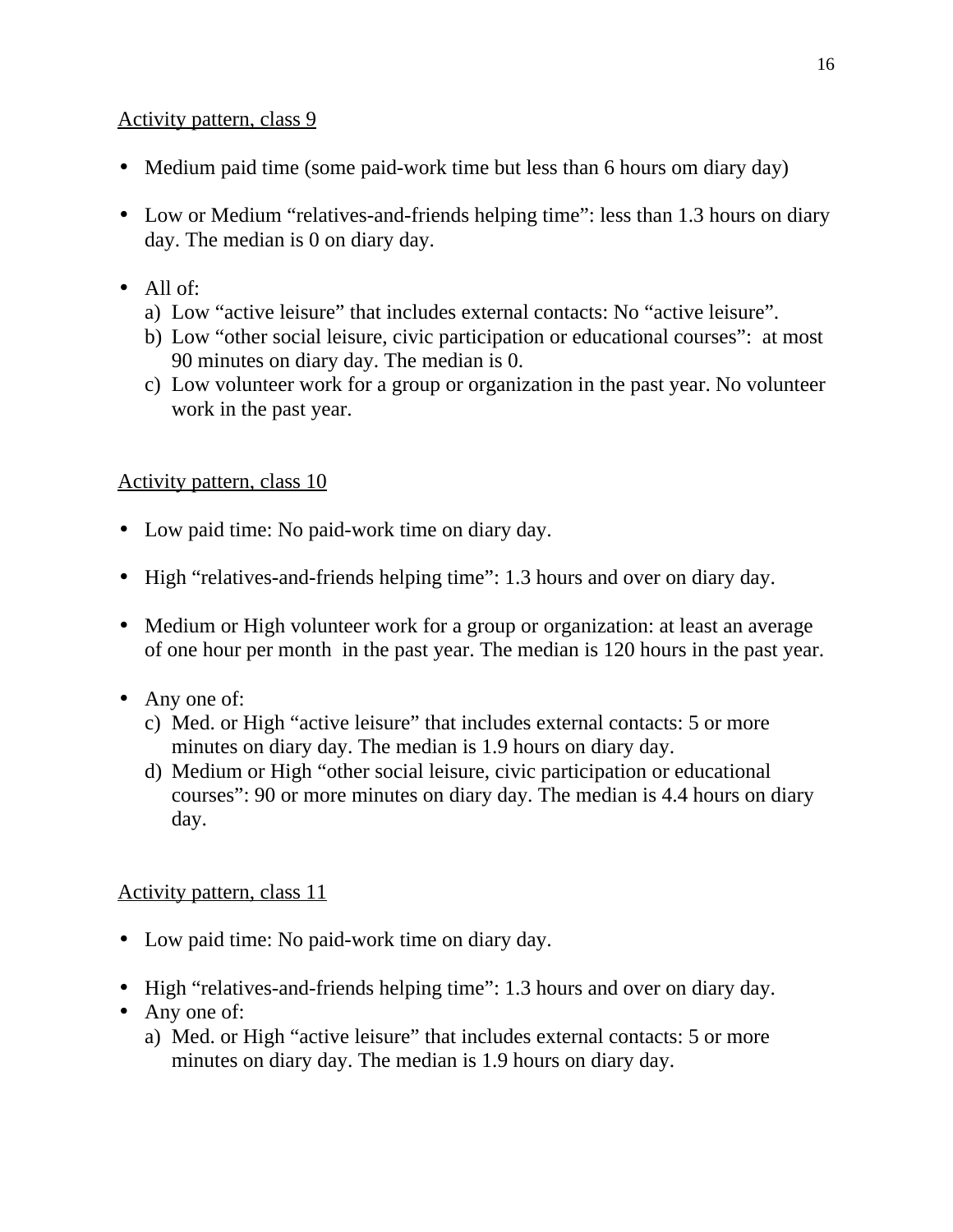- Medium paid time (some paid-work time but less than 6 hours om diary day)
- Low or Medium "relatives-and-friends helping time": less than 1.3 hours on diary day. The median is 0 on diary day.
- All of:
	- a) Low "active leisure" that includes external contacts: No "active leisure".
	- b) Low "other social leisure, civic participation or educational courses": at most 90 minutes on diary day. The median is 0.
	- c) Low volunteer work for a group or organization in the past year. No volunteer work in the past year.

# Activity pattern, class 10

- Low paid time: No paid-work time on diary day.
- High "relatives-and-friends helping time": 1.3 hours and over on diary day.
- Medium or High volunteer work for a group or organization: at least an average of one hour per month in the past year. The median is 120 hours in the past year.
- Any one of:
	- c) Med. or High "active leisure" that includes external contacts: 5 or more minutes on diary day. The median is 1.9 hours on diary day.
	- d) Medium or High "other social leisure, civic participation or educational courses": 90 or more minutes on diary day. The median is 4.4 hours on diary day.

- Low paid time: No paid-work time on diary day.
- High "relatives-and-friends helping time": 1.3 hours and over on diary day.
- Any one of:
	- a) Med. or High "active leisure" that includes external contacts: 5 or more minutes on diary day. The median is 1.9 hours on diary day.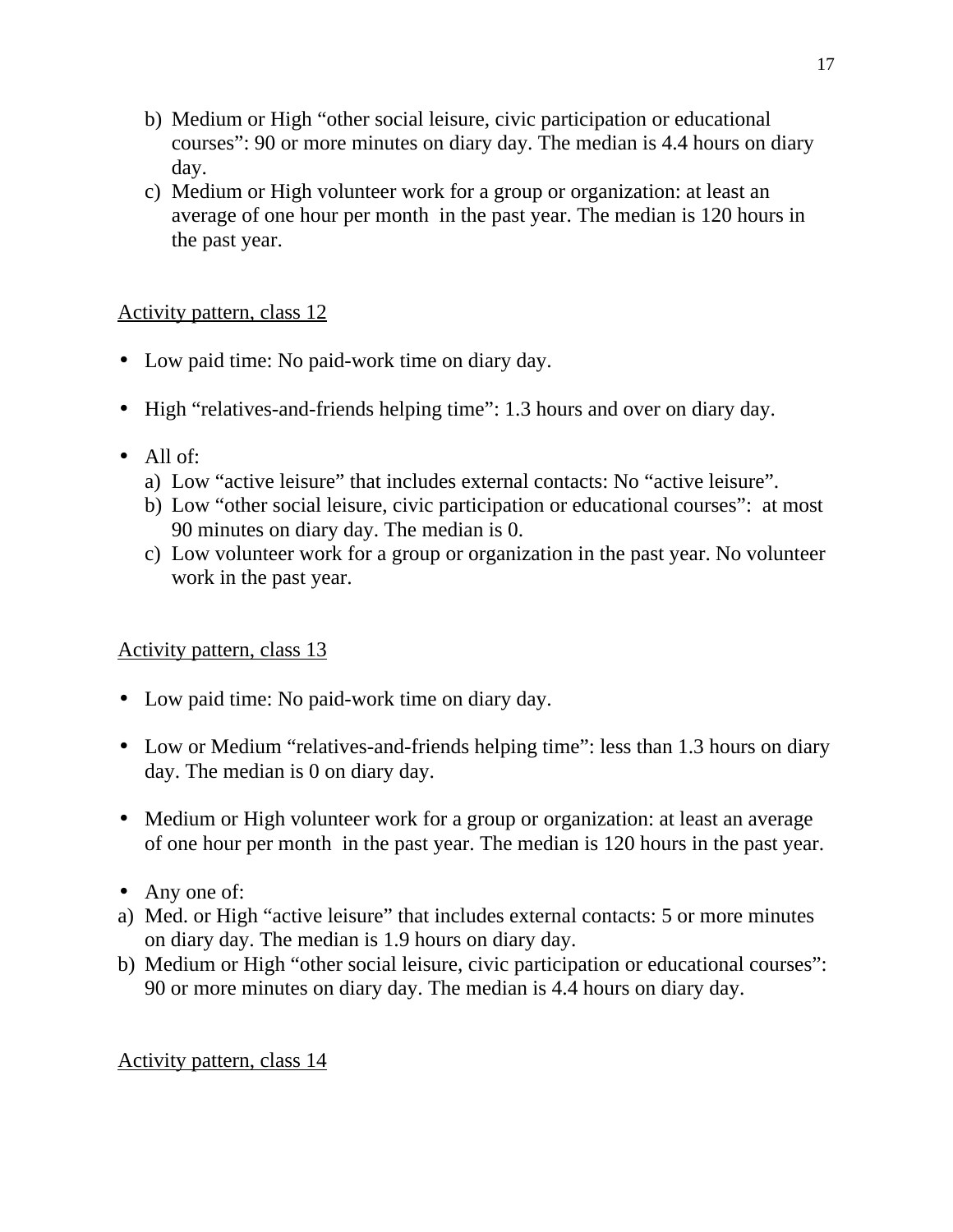- b) Medium or High "other social leisure, civic participation or educational courses": 90 or more minutes on diary day. The median is 4.4 hours on diary day.
- c) Medium or High volunteer work for a group or organization: at least an average of one hour per month in the past year. The median is 120 hours in the past year.

- Low paid time: No paid-work time on diary day.
- High "relatives-and-friends helping time": 1.3 hours and over on diary day.
- All of:
	- a) Low "active leisure" that includes external contacts: No "active leisure".
	- b) Low "other social leisure, civic participation or educational courses": at most 90 minutes on diary day. The median is 0.
	- c) Low volunteer work for a group or organization in the past year. No volunteer work in the past year.

# Activity pattern, class 13

- Low paid time: No paid-work time on diary day.
- Low or Medium "relatives-and-friends helping time": less than 1.3 hours on diary day. The median is 0 on diary day.
- Medium or High volunteer work for a group or organization: at least an average of one hour per month in the past year. The median is 120 hours in the past year.
- Any one of:
- a) Med. or High "active leisure" that includes external contacts: 5 or more minutes on diary day. The median is 1.9 hours on diary day.
- b) Medium or High "other social leisure, civic participation or educational courses": 90 or more minutes on diary day. The median is 4.4 hours on diary day.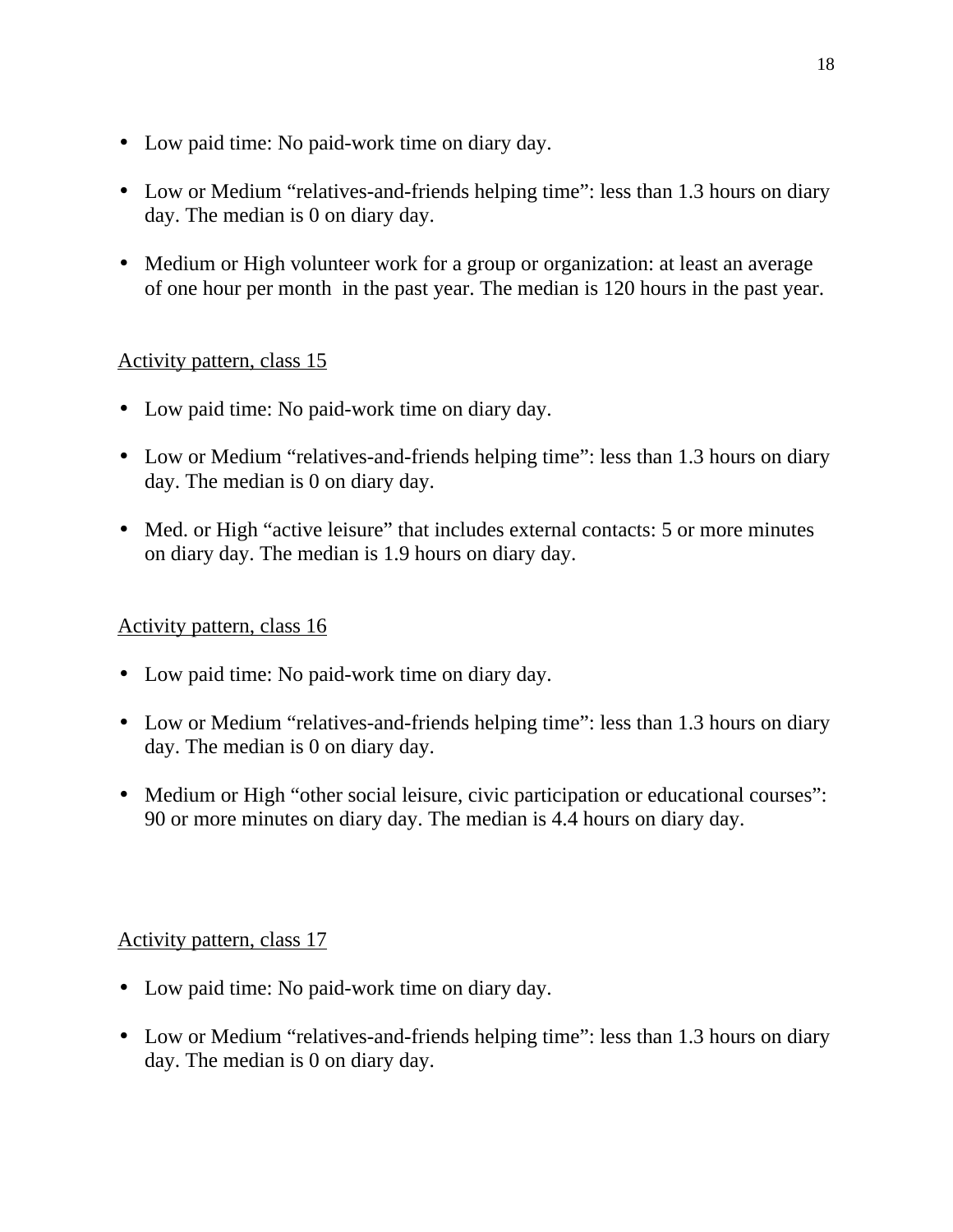- Low paid time: No paid-work time on diary day.
- Low or Medium "relatives-and-friends helping time": less than 1.3 hours on diary day. The median is 0 on diary day.
- Medium or High volunteer work for a group or organization: at least an average of one hour per month in the past year. The median is 120 hours in the past year.

- Low paid time: No paid-work time on diary day.
- Low or Medium "relatives-and-friends helping time": less than 1.3 hours on diary day. The median is 0 on diary day.
- Med. or High "active leisure" that includes external contacts: 5 or more minutes on diary day. The median is 1.9 hours on diary day.

# Activity pattern, class 16

- Low paid time: No paid-work time on diary day.
- Low or Medium "relatives-and-friends helping time": less than 1.3 hours on diary day. The median is 0 on diary day.
- Medium or High "other social leisure, civic participation or educational courses": 90 or more minutes on diary day. The median is 4.4 hours on diary day.

- Low paid time: No paid-work time on diary day.
- Low or Medium "relatives-and-friends helping time": less than 1.3 hours on diary day. The median is 0 on diary day.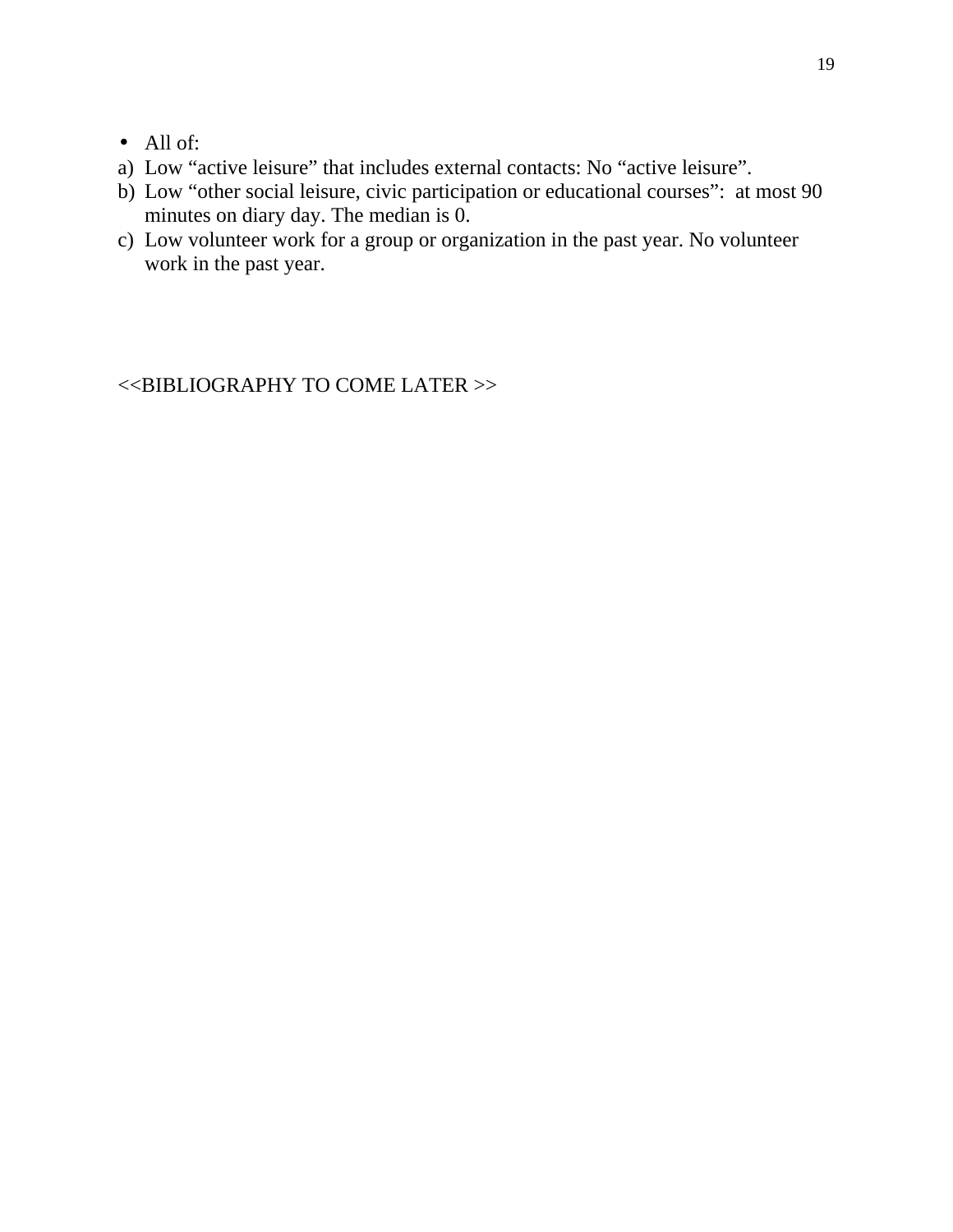- All of:
- a) Low "active leisure" that includes external contacts: No "active leisure".
- b) Low "other social leisure, civic participation or educational courses": at most 90 minutes on diary day. The median is 0.
- c) Low volunteer work for a group or organization in the past year. No volunteer work in the past year.

<<BIBLIOGRAPHY TO COME LATER >>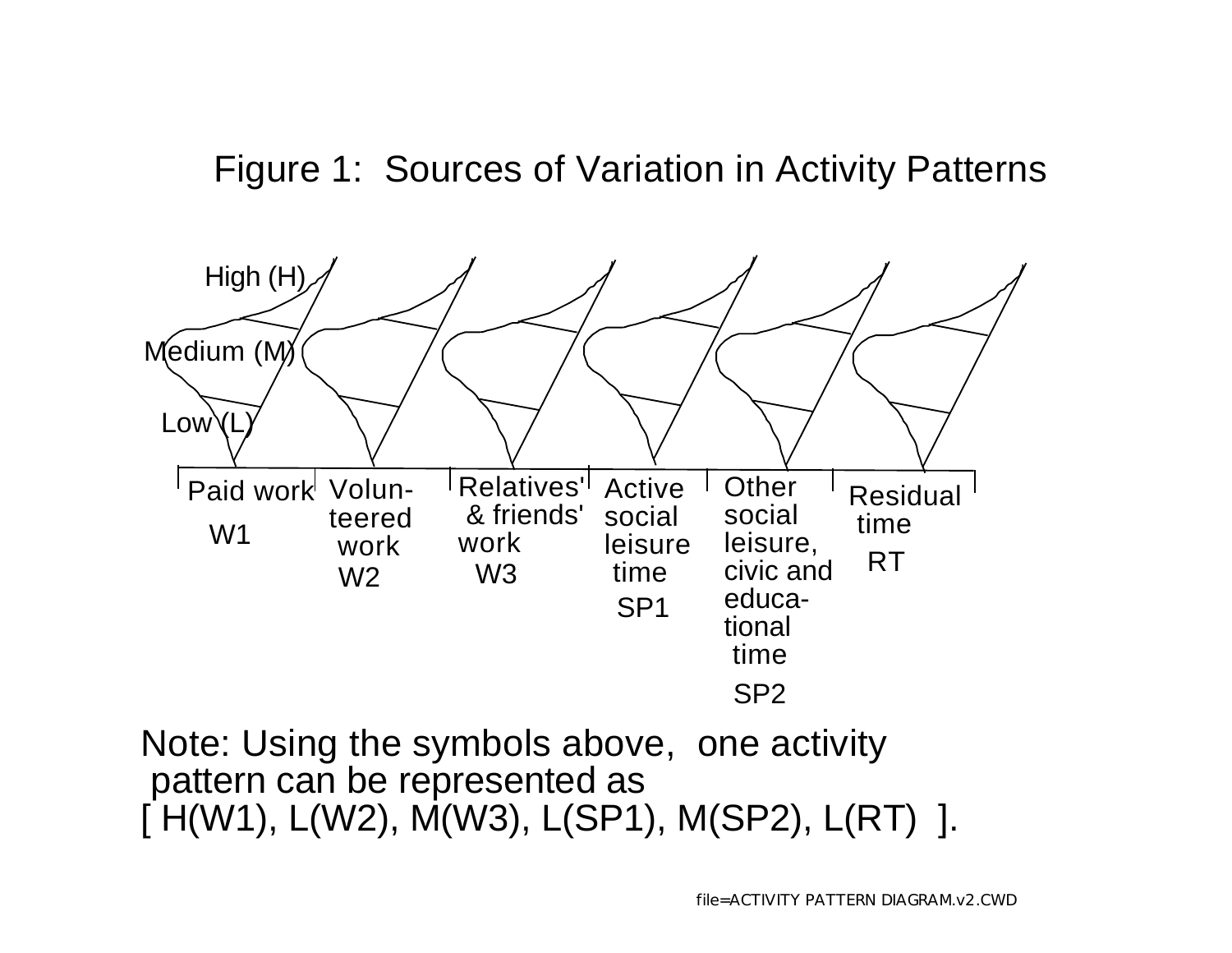# Figure 1: Sources of Variation in Activity Patterns



Note: Using the symbols above, one activity pattern can be represented as  $[$  H(W1), L(W2), M(W3), L(SP1), M(SP2), L(RT) ].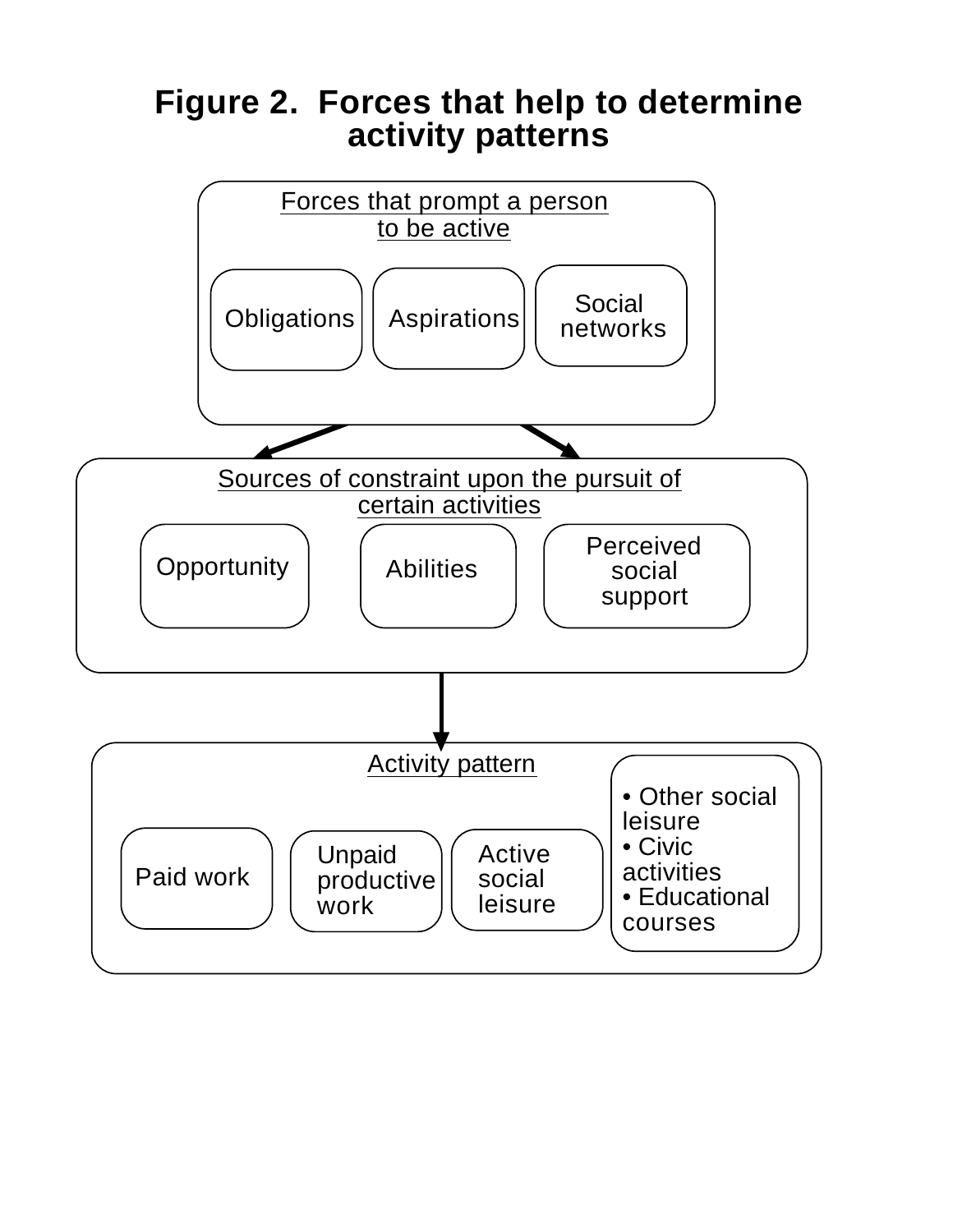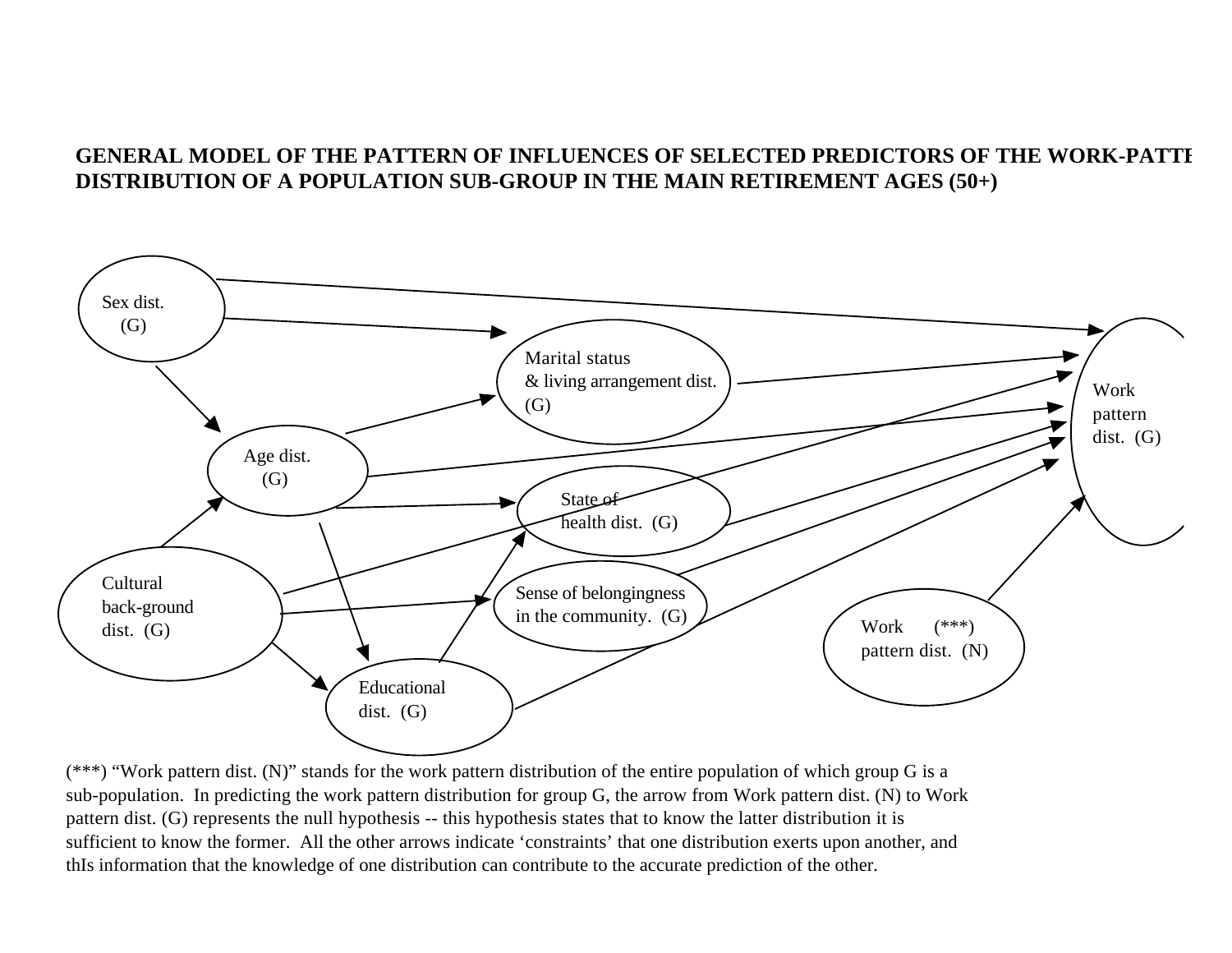# GENERAL MODEL OF THE PATTERN OF INFLUENCES OF SELECTED PREDICTORS OF THE WORK-PATTI **DISTRIBUTION OF A POPULATION SUB-GROUP IN THE MAIN RETIREMENT AGES (50+)**



 $(***)$  "Work pattern dist. (N)" stands for the work pattern distribution of the entire population of which group G is a sub-population. In predicting the work pattern distribution for group G, the arrow from Work pattern dist. (N) to Work pattern dist. (G) represents the null hypothesis -- this hypothesis states that to know the latter distribution it is sufficient to know the former. All the other arrows indicate 'constraints' that one distribution exerts upon another, and thIs information that the knowledge of one distribution can contribute to the accurate prediction of the other.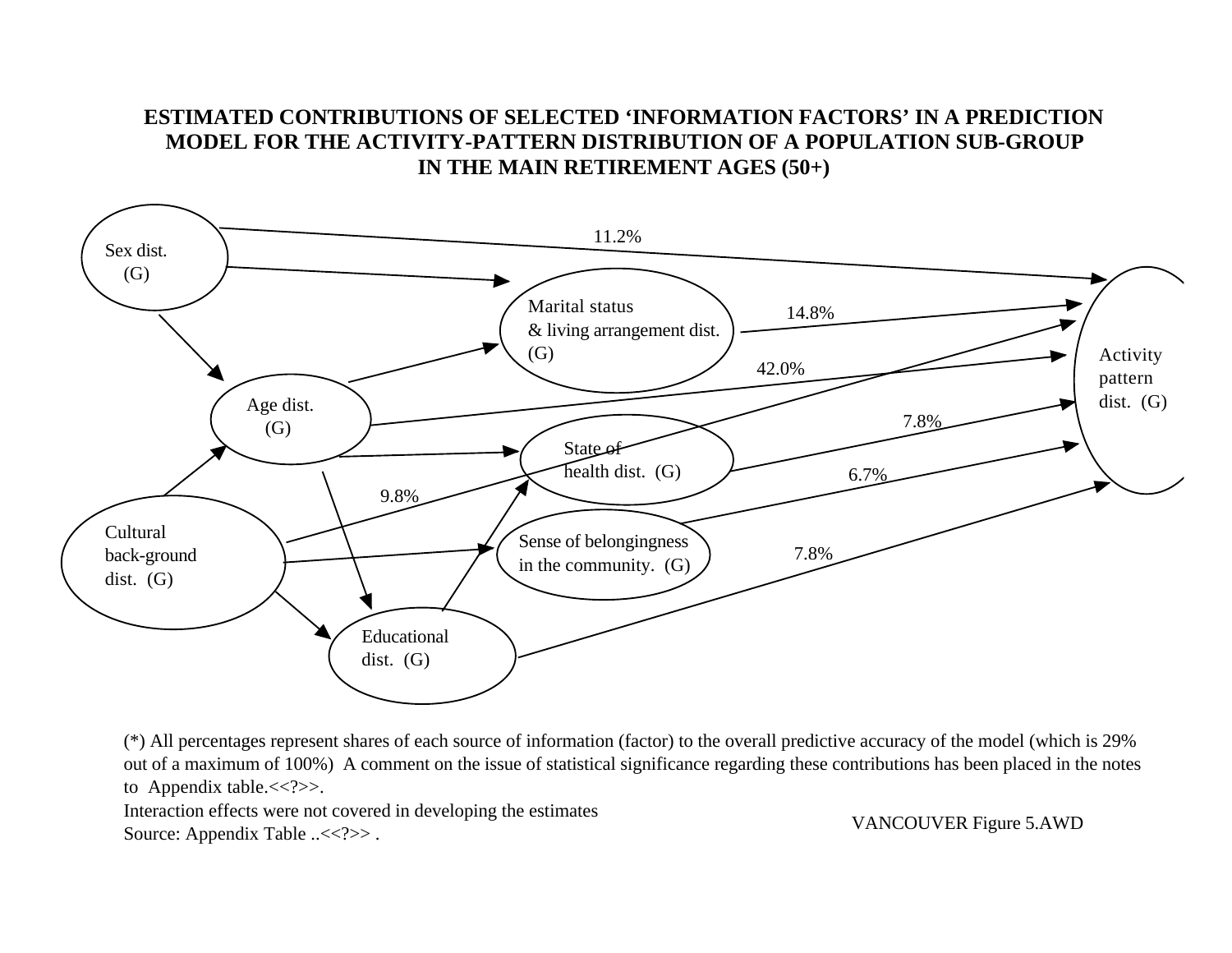# **ESTIMATED CONTRIBUTIONS OF SELECTED 'INFORMATION FACTORS' IN A PREDICTION MODEL FOR THE ACTIVITY-PATTERN DISTRIBUTION OF A POPULATION SUB-GROUP IN THE MAIN RETIREMENT AGES (50+)**



(\*) All percentages represent shares of each source of information (factor) to the overall predictive accuracy of the model (which is 29% out of a maximum of 100%) A comment on the issue of statistical significance regarding these contributions has been placed in the notes to Appendix table.<<?>>.

Interaction effects were not covered in developing the estimates Source: Appendix Table ..<<?>>.

VANCOUVER Figure 5.AWD